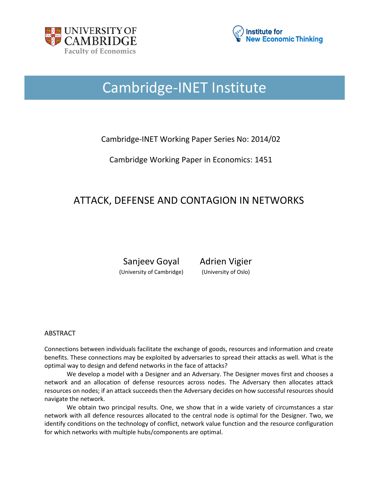



# Cambridge-INET Institute

## Cambridge-INET Working Paper Series No: 2014/02

Cambridge Working Paper in Economics: 1451

## ATTACK, DEFENSE AND CONTAGION IN NETWORKS

Sanjeev Goyal Adrien Vigier (University of Cambridge) (University of Oslo)

#### ABSTRACT

Connections between individuals facilitate the exchange of goods, resources and information and create benefits. These connections may be exploited by adversaries to spread their attacks as well. What is the optimal way to design and defend networks in the face of attacks?

We develop a model with a Designer and an Adversary. The Designer moves first and chooses a network and an allocation of defense resources across nodes. The Adversary then allocates attack resources on nodes; if an attack succeeds then the Adversary decides on how successful resources should navigate the network.

We obtain two principal results. One, we show that in a wide variety of circumstances a star network with all defence resources allocated to the central node is optimal for the Designer. Two, we identify conditions on the technology of conflict, network value function and the resource configuration for which networks with multiple hubs/components are optimal.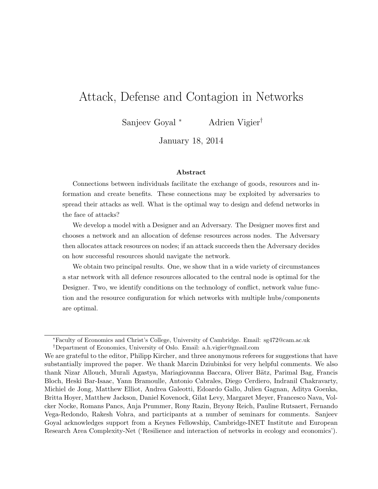## Attack, Defense and Contagion in Networks

Sanjeev Goyal <sup>∗</sup> Adrien Vigier<sup>†</sup>

January 18, 2014

#### Abstract

Connections between individuals facilitate the exchange of goods, resources and information and create benefits. These connections may be exploited by adversaries to spread their attacks as well. What is the optimal way to design and defend networks in the face of attacks?

We develop a model with a Designer and an Adversary. The Designer moves first and chooses a network and an allocation of defense resources across nodes. The Adversary then allocates attack resources on nodes; if an attack succeeds then the Adversary decides on how successful resources should navigate the network.

We obtain two principal results. One, we show that in a wide variety of circumstances a star network with all defence resources allocated to the central node is optimal for the Designer. Two, we identify conditions on the technology of conflict, network value function and the resource configuration for which networks with multiple hubs/components are optimal.

<sup>∗</sup>Faculty of Economics and Christ's College, University of Cambridge. Email: sg472@cam.ac.uk †Department of Economics, University of Oslo. Email: a.h.vigier@gmail.com

We are grateful to the editor, Philipp Kircher, and three anonymous referees for suggestions that have substantially improved the paper. We thank Marcin Dziubinksi for very helpful comments. We also thank Nizar Allouch, Murali Agastya, Mariagiovanna Baccara, Oliver Bätz, Parimal Bag, Francis Bloch, Heski Bar-Isaac, Yann Bramoulle, Antonio Cabrales, Diego Cerdiero, Indranil Chakravarty, Michiel de Jong, Matthew Elliot, Andrea Galeotti, Edoardo Gallo, Julien Gagnan, Aditya Goenka, Britta Hoyer, Matthew Jackson, Daniel Kovenock, Gilat Levy, Margaret Meyer, Francesco Nava, Volcker Nocke, Romans Pancs, Anja Prummer, Rony Razin, Bryony Reich, Pauline Rutsaert, Fernando Vega-Redondo, Rakesh Vohra, and participants at a number of seminars for comments. Sanjeev Goyal acknowledges support from a Keynes Fellowship, Cambridge-INET Institute and European Research Area Complexity-Net ('Resilience and interaction of networks in ecology and economics').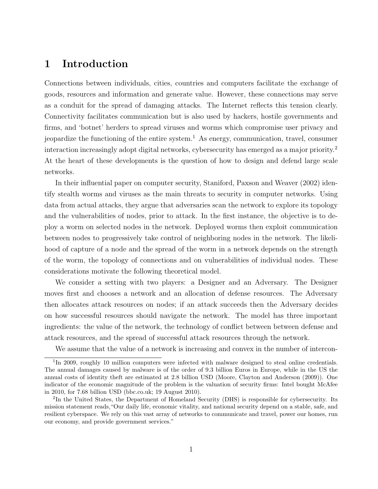## 1 Introduction

Connections between individuals, cities, countries and computers facilitate the exchange of goods, resources and information and generate value. However, these connections may serve as a conduit for the spread of damaging attacks. The Internet reflects this tension clearly. Connectivity facilitates communication but is also used by hackers, hostile governments and firms, and 'botnet' herders to spread viruses and worms which compromise user privacy and jeopardize the functioning of the entire system.<sup>1</sup> As energy, communication, travel, consumer interaction increasingly adopt digital networks, cybersecurity has emerged as a major priority.<sup>2</sup> At the heart of these developments is the question of how to design and defend large scale networks.

In their influential paper on computer security, Staniford, Paxson and Weaver (2002) identify stealth worms and viruses as the main threats to security in computer networks. Using data from actual attacks, they argue that adversaries scan the network to explore its topology and the vulnerabilities of nodes, prior to attack. In the first instance, the objective is to deploy a worm on selected nodes in the network. Deployed worms then exploit communication between nodes to progressively take control of neighboring nodes in the network. The likelihood of capture of a node and the spread of the worm in a network depends on the strength of the worm, the topology of connections and on vulnerabilities of individual nodes. These considerations motivate the following theoretical model.

We consider a setting with two players: a Designer and an Adversary. The Designer moves first and chooses a network and an allocation of defense resources. The Adversary then allocates attack resources on nodes; if an attack succeeds then the Adversary decides on how successful resources should navigate the network. The model has three important ingredients: the value of the network, the technology of conflict between between defense and attack resources, and the spread of successful attack resources through the network.

We assume that the value of a network is increasing and convex in the number of intercon-

<sup>&</sup>lt;sup>1</sup>In 2009, roughly 10 million computers were infected with malware designed to steal online credentials. The annual damages caused by malware is of the order of 9.3 billion Euros in Europe, while in the US the annual costs of identity theft are estimated at 2.8 billion USD (Moore, Clayton and Anderson (2009)). One indicator of the economic magnitude of the problem is the valuation of security firms: Intel bought McAfee in 2010, for 7.68 billion USD (bbc.co.uk; 19 August 2010).

<sup>&</sup>lt;sup>2</sup>In the United States, the Department of Homeland Security (DHS) is responsible for cybersecurity. Its mission statement reads,"Our daily life, economic vitality, and national security depend on a stable, safe, and resilient cyberspace. We rely on this vast array of networks to communicate and travel, power our homes, run our economy, and provide government services."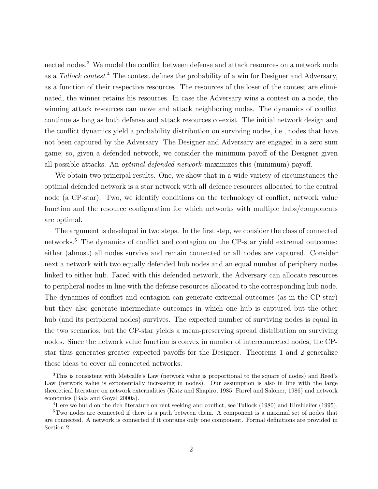nected nodes.<sup>3</sup> We model the conflict between defense and attack resources on a network node as a Tullock contest.<sup>4</sup> The contest defines the probability of a win for Designer and Adversary, as a function of their respective resources. The resources of the loser of the contest are eliminated, the winner retains his resources. In case the Adversary wins a contest on a node, the winning attack resources can move and attack neighboring nodes. The dynamics of conflict continue as long as both defense and attack resources co-exist. The initial network design and the conflict dynamics yield a probability distribution on surviving nodes, i.e., nodes that have not been captured by the Adversary. The Designer and Adversary are engaged in a zero sum game; so, given a defended network, we consider the minimum payoff of the Designer given all possible attacks. An optimal defended network maximizes this (minimum) payoff.

We obtain two principal results. One, we show that in a wide variety of circumstances the optimal defended network is a star network with all defence resources allocated to the central node (a CP-star). Two, we identify conditions on the technology of conflict, network value function and the resource configuration for which networks with multiple hubs/components are optimal.

The argument is developed in two steps. In the first step, we consider the class of connected networks.<sup>5</sup> The dynamics of conflict and contagion on the CP-star yield extremal outcomes: either (almost) all nodes survive and remain connected or all nodes are captured. Consider next a network with two equally defended hub nodes and an equal number of periphery nodes linked to either hub. Faced with this defended network, the Adversary can allocate resources to peripheral nodes in line with the defense resources allocated to the corresponding hub node. The dynamics of conflict and contagion can generate extremal outcomes (as in the CP-star) but they also generate intermediate outcomes in which one hub is captured but the other hub (and its peripheral nodes) survives. The expected number of surviving nodes is equal in the two scenarios, but the CP-star yields a mean-preserving spread distribution on surviving nodes. Since the network value function is convex in number of interconnected nodes, the CPstar thus generates greater expected payoffs for the Designer. Theorems 1 and 2 generalize these ideas to cover all connected networks.

<sup>&</sup>lt;sup>3</sup>This is consistent with Metcalfe's Law (network value is proportional to the square of nodes) and Reed's Law (network value is exponentially increasing in nodes). Our assumption is also in line with the large theoretical literature on network externalities (Katz and Shapiro, 1985; Farrel and Saloner, 1986) and network economics (Bala and Goyal 2000a).

<sup>4</sup>Here we build on the rich literature on rent seeking and conflict, see Tullock (1980) and Hirshleifer (1995).

<sup>5</sup>Two nodes are connected if there is a path between them. A component is a maximal set of nodes that are connected. A network is connected if it contains only one component. Formal definitions are provided in Section 2.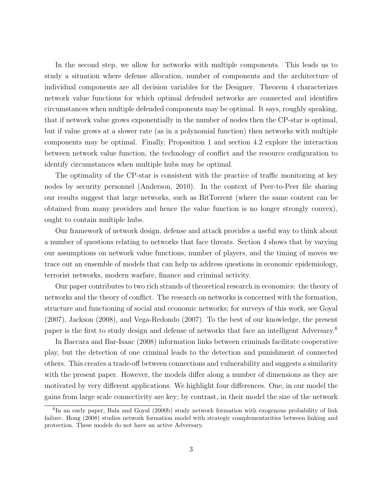In the second step, we allow for networks with multiple components. This leads us to study a situation where defense allocation, number of components and the architecture of individual components are all decision variables for the Designer. Theorem 4 characterizes network value functions for which optimal defended networks are connected and identifies circumstances when multiple defended components may be optimal. It says, roughly speaking, that if network value grows exponentially in the number of nodes then the CP-star is optimal, but if value grows at a slower rate (as in a polynomial function) then networks with multiple components may be optimal. Finally, Proposition 1 and section 4.2 explore the interaction between network value function, the technology of conflict and the resource configuration to identify circumstances when multiple hubs may be optimal.

The optimality of the CP-star is consistent with the practice of traffic monitoring at key nodes by security personnel (Anderson, 2010). In the context of Peer-to-Peer file sharing our results suggest that large networks, such as BitTorrent (where the same content can be obtained from many providers and hence the value function is no longer strongly convex), ought to contain multiple hubs.

Our framework of network design, defense and attack provides a useful way to think about a number of questions relating to networks that face threats. Section 4 shows that by varying our assumptions on network value functions, number of players, and the timing of moves we trace out an ensemble of models that can help us address questions in economic epidemiology, terrorist networks, modern warfare, finance and criminal activity.

Our paper contributes to two rich strands of theoretical research in economics: the theory of networks and the theory of conflict. The research on networks is concerned with the formation, structure and functioning of social and economic networks; for surveys of this work, see Goyal (2007), Jackson (2008), and Vega-Redondo (2007). To the best of our knowledge, the present paper is the first to study design and defense of networks that face an intelligent Adversary.<sup>6</sup>

In Baccara and Bar-Isaac (2008) information links between criminals facilitate cooperative play, but the detection of one criminal leads to the detection and punishment of connected others. This creates a trade-off between connections and vulnerability and suggests a similarity with the present paper. However, the models differ along a number of dimensions as they are motivated by very different applications. We highlight four differences. One, in our model the gains from large scale connectivity are key; by contrast, in their model the size of the network

<sup>&</sup>lt;sup>6</sup>In an early paper, Bala and Goyal (2000b) study network formation with exogenous probability of link failure. Hong (2008) studies network formation model with strategic complementarities between linking and protection. These models do not have an active Adversary.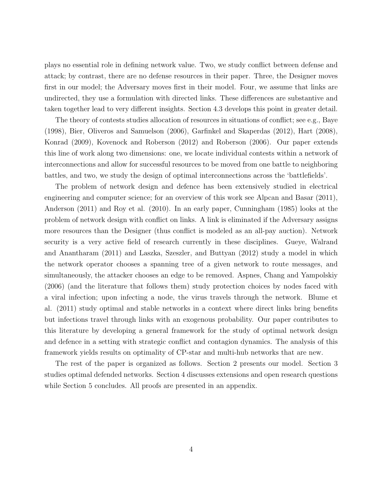plays no essential role in defining network value. Two, we study conflict between defense and attack; by contrast, there are no defense resources in their paper. Three, the Designer moves first in our model; the Adversary moves first in their model. Four, we assume that links are undirected, they use a formulation with directed links. These differences are substantive and taken together lead to very different insights. Section 4.3 develops this point in greater detail.

The theory of contests studies allocation of resources in situations of conflict; see e.g., Baye (1998), Bier, Oliveros and Samuelson (2006), Garfinkel and Skaperdas (2012), Hart (2008), Konrad (2009), Kovenock and Roberson (2012) and Roberson (2006). Our paper extends this line of work along two dimensions: one, we locate individual contests within a network of interconnections and allow for successful resources to be moved from one battle to neighboring battles, and two, we study the design of optimal interconnections across the 'battlefields'.

The problem of network design and defence has been extensively studied in electrical engineering and computer science; for an overview of this work see Alpcan and Basar (2011), Anderson (2011) and Roy et al. (2010). In an early paper, Cunningham (1985) looks at the problem of network design with conflict on links. A link is eliminated if the Adversary assigns more resources than the Designer (thus conflict is modeled as an all-pay auction). Network security is a very active field of research currently in these disciplines. Gueye, Walrand and Anantharam (2011) and Laszka, Szeszler, and Buttyan (2012) study a model in which the network operator chooses a spanning tree of a given network to route messages, and simultaneously, the attacker chooses an edge to be removed. Aspnes, Chang and Yampolskiy (2006) (and the literature that follows them) study protection choices by nodes faced with a viral infection; upon infecting a node, the virus travels through the network. Blume et al. (2011) study optimal and stable networks in a context where direct links bring benefits but infections travel through links with an exogenous probability. Our paper contributes to this literature by developing a general framework for the study of optimal network design and defence in a setting with strategic conflict and contagion dynamics. The analysis of this framework yields results on optimality of CP-star and multi-hub networks that are new.

The rest of the paper is organized as follows. Section 2 presents our model. Section 3 studies optimal defended networks. Section 4 discusses extensions and open research questions while Section 5 concludes. All proofs are presented in an appendix.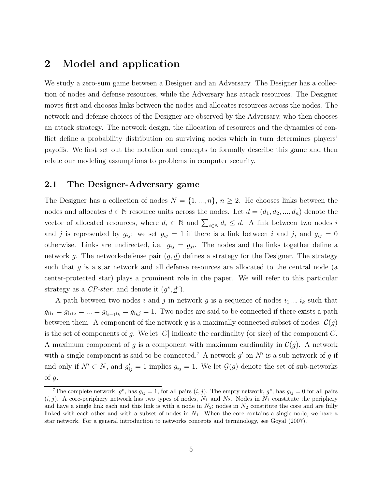### 2 Model and application

We study a zero-sum game between a Designer and an Adversary. The Designer has a collection of nodes and defense resources, while the Adversary has attack resources. The Designer moves first and chooses links between the nodes and allocates resources across the nodes. The network and defense choices of the Designer are observed by the Adversary, who then chooses an attack strategy. The network design, the allocation of resources and the dynamics of conflict define a probability distribution on surviving nodes which in turn determines players' payoffs. We first set out the notation and concepts to formally describe this game and then relate our modeling assumptions to problems in computer security.

#### 2.1 The Designer-Adversary game

The Designer has a collection of nodes  $N = \{1, ..., n\}$ ,  $n \geq 2$ . He chooses links between the nodes and allocates  $d \in \mathbb{N}$  resource units across the nodes. Let  $\underline{d} = (d_1, d_2, ..., d_n)$  denote the vector of allocated resources, where  $d_i \in \mathbb{N}$  and  $\sum_{i \in \mathbb{N}} d_i \leq d$ . A link between two nodes i and j is represented by  $g_{ij}$ : we set  $g_{ij} = 1$  if there is a link between i and j, and  $g_{ij} = 0$ otherwise. Links are undirected, i.e.  $g_{ij} = g_{ji}$ . The nodes and the links together define a network g. The network-defense pair  $(g, \underline{d})$  defines a strategy for the Designer. The strategy such that g is a star network and all defense resources are allocated to the central node (a center-protected star) plays a prominent role in the paper. We will refer to this particular strategy as a CP-star, and denote it  $(g^s, \underline{d}^s)$ .

A path between two nodes i and j in network g is a sequence of nodes  $i_1, \ldots, i_k$  such that  $g_{ii_1} = g_{i_1i_2} = ... = g_{i_{k-1}i_k} = g_{i_kj} = 1$ . Two nodes are said to be connected if there exists a path between them. A component of the network q is a maximally connected subset of nodes.  $\mathcal{C}(q)$ is the set of components of g. We let  $|C|$  indicate the cardinality (or size) of the component C. A maximum component of g is a component with maximum cardinality in  $\mathcal{C}(q)$ . A network with a single component is said to be connected.<sup>7</sup> A network  $g'$  on  $N'$  is a sub-network of g if and only if  $N' \subset N$ , and  $g'_{ij} = 1$  implies  $g_{ij} = 1$ . We let  $\mathcal{G}(g)$  denote the set of sub-networks of  $q$ .

<sup>&</sup>lt;sup>7</sup>The complete network,  $g^c$ , has  $g_{ij} = 1$ , for all pairs  $(i, j)$ . The empty network,  $g^e$ , has  $g_{ij} = 0$  for all pairs  $(i, j)$ . A core-periphery network has two types of nodes,  $N_1$  and  $N_2$ . Nodes in  $N_1$  constitute the periphery and have a single link each and this link is with a node in  $N_2$ ; nodes in  $N_2$  constitute the core and are fully linked with each other and with a subset of nodes in  $N_1$ . When the core contains a single node, we have a star network. For a general introduction to networks concepts and terminology, see Goyal (2007).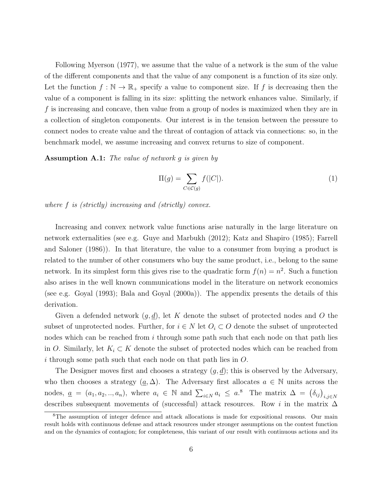Following Myerson (1977), we assume that the value of a network is the sum of the value of the different components and that the value of any component is a function of its size only. Let the function  $f : \mathbb{N} \to \mathbb{R}_+$  specify a value to component size. If f is decreasing then the value of a component is falling in its size: splitting the network enhances value. Similarly, if f is increasing and concave, then value from a group of nodes is maximized when they are in a collection of singleton components. Our interest is in the tension between the pressure to connect nodes to create value and the threat of contagion of attack via connections: so, in the benchmark model, we assume increasing and convex returns to size of component.

Assumption A.1: The value of network g is given by

$$
\Pi(g) = \sum_{C \in \mathcal{C}(g)} f(|C|). \tag{1}
$$

where f is (strictly) increasing and (strictly) convex.

Increasing and convex network value functions arise naturally in the large literature on network externalities (see e.g. Guye and Marbukh (2012); Katz and Shapiro (1985); Farrell and Saloner (1986)). In that literature, the value to a consumer from buying a product is related to the number of other consumers who buy the same product, i.e., belong to the same network. In its simplest form this gives rise to the quadratic form  $f(n) = n^2$ . Such a function also arises in the well known communications model in the literature on network economics (see e.g. Goyal (1993); Bala and Goyal (2000a)). The appendix presents the details of this derivation.

Given a defended network  $(g, \underline{d})$ , let K denote the subset of protected nodes and O the subset of unprotected nodes. Further, for  $i \in N$  let  $O_i \subset O$  denote the subset of unprotected nodes which can be reached from  $i$  through some path such that each node on that path lies in O. Similarly, let  $K_i \subset K$  denote the subset of protected nodes which can be reached from i through some path such that each node on that path lies in  $O$ .

The Designer moves first and chooses a strategy  $(q, d)$ ; this is observed by the Adversary, who then chooses a strategy  $(\underline{a}, \Delta)$ . The Adversary first allocates  $a \in \mathbb{N}$  units across the nodes,  $\underline{a} = (a_1, a_2, ..., a_n)$ , where  $a_i \in \mathbb{N}$  and  $\sum_{i \in N} a_i \leq a$ .<sup>8</sup> The matrix  $\Delta = (\delta_{ij})_{i,j \in N}$ describes subsequent movements of (successful) attack resources. Row i in the matrix  $\Delta$ 

<sup>&</sup>lt;sup>8</sup>The assumption of integer defence and attack allocations is made for expositional reasons. Our main result holds with continuous defense and attack resources under stronger assumptions on the contest function and on the dynamics of contagion; for completeness, this variant of our result with continuous actions and its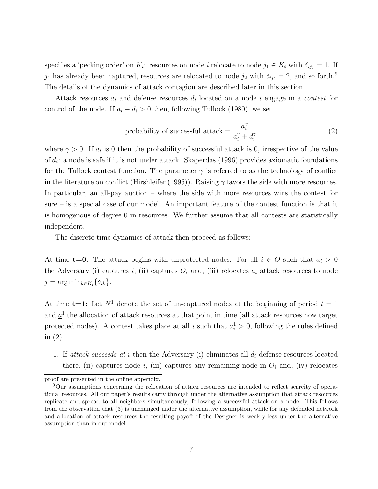specifies a 'pecking order' on  $K_i$ : resources on node i relocate to node  $j_1 \in K_i$  with  $\delta_{ij_1} = 1$ . If  $j_1$  has already been captured, resources are relocated to node  $j_2$  with  $\delta_{ij_2} = 2$ , and so forth.<sup>9</sup> The details of the dynamics of attack contagion are described later in this section.

Attack resources  $a_i$  and defense resources  $d_i$  located on a node i engage in a *contest* for control of the node. If  $a_i + d_i > 0$  then, following Tullock (1980), we set

probability of successful attack = 
$$
\frac{a_i^{\gamma}}{a_i^{\gamma} + d_i^{\gamma}}
$$
 (2)

where  $\gamma > 0$ . If  $a_i$  is 0 then the probability of successful attack is 0, irrespective of the value of  $d_i$ : a node is safe if it is not under attack. Skaperdas (1996) provides axiomatic foundations for the Tullock contest function. The parameter  $\gamma$  is referred to as the technology of conflict in the literature on conflict (Hirshleifer (1995)). Raising  $\gamma$  favors the side with more resources. In particular, an all-pay auction – where the side with more resources wins the contest for sure – is a special case of our model. An important feature of the contest function is that it is homogenous of degree 0 in resources. We further assume that all contests are statistically independent.

The discrete-time dynamics of attack then proceed as follows:

At time **t=0**: The attack begins with unprotected nodes. For all  $i \in O$  such that  $a_i > 0$ the Adversary (i) captures i, (ii) captures  $O_i$  and, (iii) relocates  $a_i$  attack resources to node  $j = \arg \min_{k \in K_i} {\{\delta_{ik}\}}.$ 

At time  $t=1$ : Let  $N^1$  denote the set of un-captured nodes at the beginning of period  $t=1$ and  $\underline{a}^1$  the allocation of attack resources at that point in time (all attack resources now target protected nodes). A contest takes place at all i such that  $a_i^1 > 0$ , following the rules defined in (2).

1. If attack succeeds at i then the Adversary (i) eliminates all  $d_i$  defense resources located there, (ii) captures node i, (iii) captures any remaining node in  $O_i$  and, (iv) relocates

proof are presented in the online appendix.

<sup>9</sup>Our assumptions concerning the relocation of attack resources are intended to reflect scarcity of operational resources. All our paper's results carry through under the alternative assumption that attack resources replicate and spread to all neighbors simultaneously, following a successful attack on a node. This follows from the observation that (3) is unchanged under the alternative assumption, while for any defended network and allocation of attack resources the resulting payoff of the Designer is weakly less under the alternative assumption than in our model.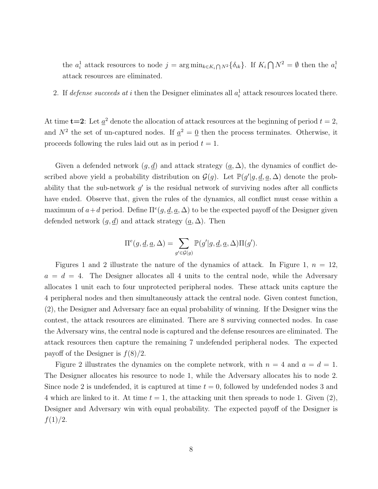the  $a_i^1$  attack resources to node  $j = \arg \min_{k \in K_i \cap N^2} {\delta_{ik}}$ . If  $K_i \cap N^2 = \emptyset$  then the  $a_i^1$ attack resources are eliminated.

2. If *defense succeeds at i* then the Designer eliminates all  $a_i^1$  attack resources located there.

At time  $t=2$ : Let  $\underline{a}^2$  denote the allocation of attack resources at the beginning of period  $t=2$ , and  $N^2$  the set of un-captured nodes. If  $\underline{a}^2 = \underline{0}$  then the process terminates. Otherwise, it proceeds following the rules laid out as in period  $t = 1$ .

Given a defended network  $(g, \underline{d})$  and attack strategy  $(\underline{a}, \Delta)$ , the dynamics of conflict described above yield a probability distribution on  $\mathcal{G}(g)$ . Let  $\mathbb{P}(g'|g, \underline{d}, \underline{a}, \Delta)$  denote the probability that the sub-network  $g'$  is the residual network of surviving nodes after all conflicts have ended. Observe that, given the rules of the dynamics, all conflict must cease within a maximum of  $a+d$  period. Define  $\Pi^e(g, \underline{d}, \underline{a}, \Delta)$  to be the expected payoff of the Designer given defended network  $(g, \underline{d})$  and attack strategy  $(\underline{a}, \Delta)$ . Then

$$
\Pi^{e}(g, \underline{d}, \underline{a}, \Delta) = \sum_{g' \in \mathcal{G}(g)} \mathbb{P}(g'|g, \underline{d}, \underline{a}, \Delta) \Pi(g').
$$

Figures 1 and 2 illustrate the nature of the dynamics of attack. In Figure 1,  $n = 12$ ,  $a = d = 4$ . The Designer allocates all 4 units to the central node, while the Adversary allocates 1 unit each to four unprotected peripheral nodes. These attack units capture the 4 peripheral nodes and then simultaneously attack the central node. Given contest function, (2), the Designer and Adversary face an equal probability of winning. If the Designer wins the contest, the attack resources are eliminated. There are 8 surviving connected nodes. In case the Adversary wins, the central node is captured and the defense resources are eliminated. The attack resources then capture the remaining 7 undefended peripheral nodes. The expected payoff of the Designer is  $f(8)/2$ .

Figure 2 illustrates the dynamics on the complete network, with  $n = 4$  and  $a = d = 1$ . The Designer allocates his resource to node 1, while the Adversary allocates his to node 2. Since node 2 is undefended, it is captured at time  $t = 0$ , followed by undefended nodes 3 and 4 which are linked to it. At time  $t = 1$ , the attacking unit then spreads to node 1. Given (2), Designer and Adversary win with equal probability. The expected payoff of the Designer is  $f(1)/2$ .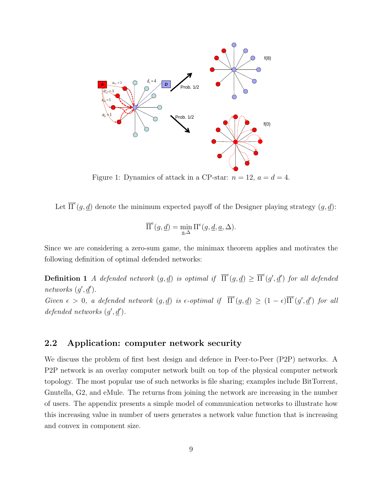

Figure 1: Dynamics of attack in a CP-star:  $n = 12$ ,  $a = d = 4$ .

Let  $\overline{\Pi}^e(g, \underline{d})$  denote the minimum expected payoff of the Designer playing strategy  $(g, \underline{d})$ :

$$
\overline{\Pi}^e(g,\underline{d}) = \min_{\underline{a},\Delta} \Pi^e(g,\underline{d},\underline{a},\Delta).
$$

Since we are considering a zero-sum game, the minimax theorem applies and motivates the following definition of optimal defended networks:

**Definition 1** A defended network  $(g, \underline{d})$  is optimal if  $\overline{\Pi}^e(g, \underline{d}) \geq \overline{\Pi}^e(g', \underline{d}')$  for all defended networks  $(g', \underline{d}')$ . Given  $\epsilon > 0$ , a defended network  $(g, \underline{d})$  is  $\epsilon$ -optimal if  $\overline{\Pi}^e(g, \underline{d}) \geq (1 - \epsilon)\overline{\Pi}^e(g', \underline{d}')$  for all defended networks  $(g', \underline{d}')$ .

#### 2.2 Application: computer network security

We discuss the problem of first best design and defence in Peer-to-Peer (P2P) networks. A P2P network is an overlay computer network built on top of the physical computer network topology. The most popular use of such networks is file sharing; examples include BitTorrent, Gnutella, G2, and eMule. The returns from joining the network are increasing in the number of users. The appendix presents a simple model of communication networks to illustrate how this increasing value in number of users generates a network value function that is increasing and convex in component size.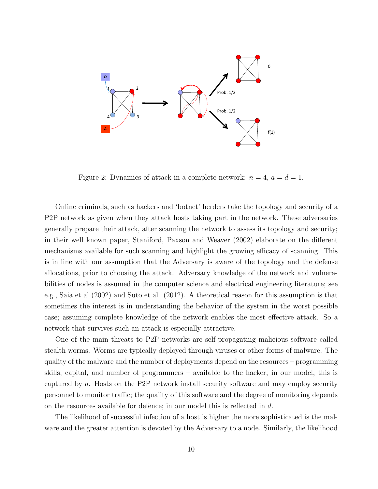

Figure 2: Dynamics of attack in a complete network:  $n = 4$ ,  $a = d = 1$ .

Online criminals, such as hackers and 'botnet' herders take the topology and security of a P2P network as given when they attack hosts taking part in the network. These adversaries generally prepare their attack, after scanning the network to assess its topology and security; in their well known paper, Staniford, Paxson and Weaver (2002) elaborate on the different mechanisms available for such scanning and highlight the growing efficacy of scanning. This is in line with our assumption that the Adversary is aware of the topology and the defense allocations, prior to choosing the attack. Adversary knowledge of the network and vulnerabilities of nodes is assumed in the computer science and electrical engineering literature; see e.g., Saia et al (2002) and Suto et al. (2012). A theoretical reason for this assumption is that sometimes the interest is in understanding the behavior of the system in the worst possible case; assuming complete knowledge of the network enables the most effective attack. So a network that survives such an attack is especially attractive.

One of the main threats to P2P networks are self-propagating malicious software called stealth worms. Worms are typically deployed through viruses or other forms of malware. The quality of the malware and the number of deployments depend on the resources – programming skills, capital, and number of programmers – available to the hacker; in our model, this is captured by a. Hosts on the P2P network install security software and may employ security personnel to monitor traffic; the quality of this software and the degree of monitoring depends on the resources available for defence; in our model this is reflected in d.

The likelihood of successful infection of a host is higher the more sophisticated is the malware and the greater attention is devoted by the Adversary to a node. Similarly, the likelihood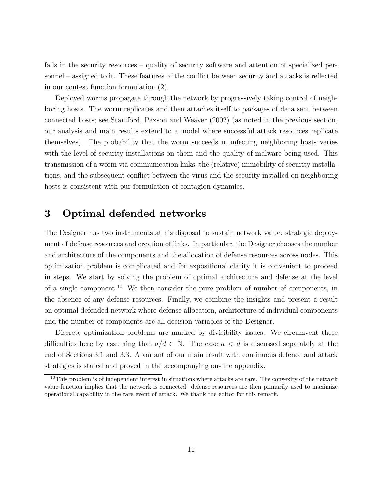falls in the security resources – quality of security software and attention of specialized personnel – assigned to it. These features of the conflict between security and attacks is reflected in our contest function formulation (2).

Deployed worms propagate through the network by progressively taking control of neighboring hosts. The worm replicates and then attaches itself to packages of data sent between connected hosts; see Staniford, Paxson and Weaver (2002) (as noted in the previous section, our analysis and main results extend to a model where successful attack resources replicate themselves). The probability that the worm succeeds in infecting neighboring hosts varies with the level of security installations on them and the quality of malware being used. This transmission of a worm via communication links, the (relative) immobility of security installations, and the subsequent conflict between the virus and the security installed on neighboring hosts is consistent with our formulation of contagion dynamics.

## 3 Optimal defended networks

The Designer has two instruments at his disposal to sustain network value: strategic deployment of defense resources and creation of links. In particular, the Designer chooses the number and architecture of the components and the allocation of defense resources across nodes. This optimization problem is complicated and for expositional clarity it is convenient to proceed in steps. We start by solving the problem of optimal architecture and defense at the level of a single component.<sup>10</sup> We then consider the pure problem of number of components, in the absence of any defense resources. Finally, we combine the insights and present a result on optimal defended network where defense allocation, architecture of individual components and the number of components are all decision variables of the Designer.

Discrete optimization problems are marked by divisibility issues. We circumvent these difficulties here by assuming that  $a/d \in \mathbb{N}$ . The case  $a < d$  is discussed separately at the end of Sections 3.1 and 3.3. A variant of our main result with continuous defence and attack strategies is stated and proved in the accompanying on-line appendix.

<sup>&</sup>lt;sup>10</sup>This problem is of independent interest in situations where attacks are rare. The convexity of the network value function implies that the network is connected: defense resources are then primarily used to maximize operational capability in the rare event of attack. We thank the editor for this remark.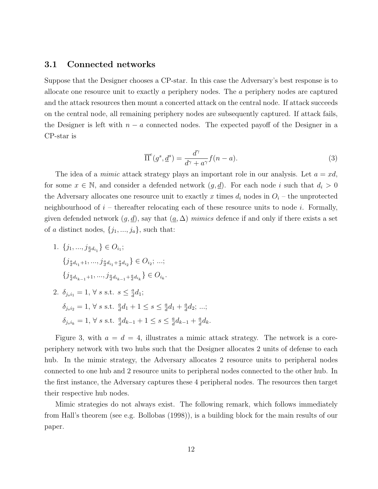#### 3.1 Connected networks

Suppose that the Designer chooses a CP-star. In this case the Adversary's best response is to allocate one resource unit to exactly a periphery nodes. The a periphery nodes are captured and the attack resources then mount a concerted attack on the central node. If attack succeeds on the central node, all remaining periphery nodes are subsequently captured. If attack fails, the Designer is left with  $n - a$  connected nodes. The expected payoff of the Designer in a CP-star is

$$
\overline{\Pi}^e(g^s, \underline{d}^s) = \frac{d^{\gamma}}{d^{\gamma} + a^{\gamma}} f(n - a). \tag{3}
$$

The idea of a *mimic* attack strategy plays an important role in our analysis. Let  $a = xd$ , for some  $x \in \mathbb{N}$ , and consider a defended network  $(g, \underline{d})$ . For each node i such that  $d_i > 0$ the Adversary allocates one resource unit to exactly x times  $d_i$  nodes in  $O_i$  – the unprotected neighbourhood of  $i$  – thereafter relocating each of these resource units to node i. Formally, given defended network  $(g, \underline{d})$ , say that  $(\underline{a}, \Delta)$  mimics defence if and only if there exists a set of a distinct nodes,  $\{j_1, ..., j_a\}$ , such that:

1.  $\{j_1, ..., j_{\frac{a}{d}d_{i_1}}\} \in O_{i_1};$  $\{j_{\frac{a}{d}d_{i_1}+1},...,j_{\frac{a}{d}d_{i_1}+\frac{a}{d}d_{i_2}}\}\in O_{i_2};...;$  $\{j_{\frac{a}{d}d_{i_{k-1}}+1},...,j_{\frac{a}{d}d_{i_{k-1}}+\frac{a}{d}d_{i_k}}\}\in O_{i_k}.$ 2.  $\delta_{j_s i_1} = 1, \forall s \text{ s.t. } s \leq \frac{a}{d}$  $\frac{a}{d}d_1;$  $\delta_{j_s i_2} = 1, \forall s \text{ s.t. } \frac{a}{d} d_1 + 1 \leq s \leq \frac{a}{d}$  $\frac{a}{d}d_1+\frac{a}{d}$  $\frac{a}{d}d_2$ ; ...;  $\delta_{j_s i_k} = 1, \forall s \text{ s.t. } \frac{a}{d} d_{k-1} + 1 \leq s \leq \frac{a}{d}$  $\frac{a}{d}d_{k-1} + \frac{a}{d}$  $\frac{a}{d}d_k$ .

Figure 3, with  $a = d = 4$ , illustrates a mimic attack strategy. The network is a coreperiphery network with two hubs such that the Designer allocates 2 units of defense to each hub. In the mimic strategy, the Adversary allocates 2 resource units to peripheral nodes connected to one hub and 2 resource units to peripheral nodes connected to the other hub. In the first instance, the Adversary captures these 4 peripheral nodes. The resources then target their respective hub nodes.

Mimic strategies do not always exist. The following remark, which follows immediately from Hall's theorem (see e.g. Bollobas (1998)), is a building block for the main results of our paper.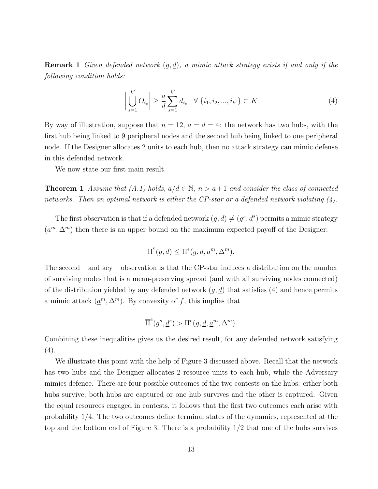**Remark 1** Given defended network  $(g, \underline{d})$ , a mimic attack strategy exists if and only if the following condition holds:

$$
\left| \bigcup_{s=1}^{k'} O_{i_s} \right| \ge \frac{a}{d} \sum_{s=1}^{k'} d_{i_s} \quad \forall \ \{i_1, i_2, ..., i_{k'}\} \subset K
$$
 (4)

By way of illustration, suppose that  $n = 12$ ,  $a = d = 4$ : the network has two hubs, with the first hub being linked to 9 peripheral nodes and the second hub being linked to one peripheral node. If the Designer allocates 2 units to each hub, then no attack strategy can mimic defense in this defended network.

We now state our first main result.

**Theorem 1** Assume that (A.1) holds,  $a/d \in \mathbb{N}$ ,  $n > a+1$  and consider the class of connected networks. Then an optimal network is either the CP-star or a defended network violating  $(4)$ .

The first observation is that if a defended network  $(g, \underline{d}) \neq (g^s, \underline{d}^s)$  permits a mimic strategy  $(\underline{a}^m, \Delta^m)$  then there is an upper bound on the maximum expected payoff of the Designer:

$$
\overline{\Pi}^e(g, \underline{d}) \le \Pi^e(g, \underline{d}, \underline{a}^m, \Delta^m).
$$

The second – and key – observation is that the CP-star induces a distribution on the number of surviving nodes that is a mean-preserving spread (and with all surviving nodes connected) of the distribution yielded by any defended network  $(g, d)$  that satisfies (4) and hence permits a mimic attack  $(\underline{a}^m, \Delta^m)$ . By convexity of f, this implies that

$$
\overline{\Pi}^e(g^s, \underline{d}^s) > \Pi^e(g, \underline{d}, \underline{a}^m, \Delta^m).
$$

Combining these inequalities gives us the desired result, for any defended network satisfying  $(4).$ 

We illustrate this point with the help of Figure 3 discussed above. Recall that the network has two hubs and the Designer allocates 2 resource units to each hub, while the Adversary mimics defence. There are four possible outcomes of the two contests on the hubs: either both hubs survive, both hubs are captured or one hub survives and the other is captured. Given the equal resources engaged in contests, it follows that the first two outcomes each arise with probability 1/4. The two outcomes define terminal states of the dynamics, represented at the top and the bottom end of Figure 3. There is a probability 1/2 that one of the hubs survives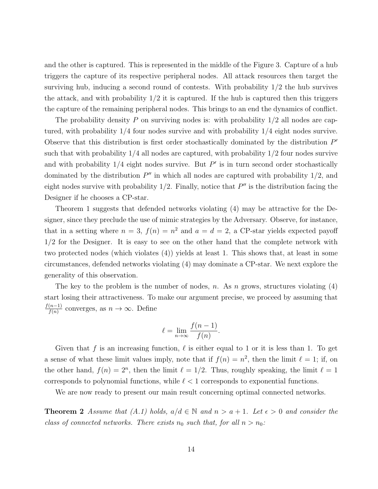and the other is captured. This is represented in the middle of the Figure 3. Capture of a hub triggers the capture of its respective peripheral nodes. All attack resources then target the surviving hub, inducing a second round of contests. With probability 1/2 the hub survives the attack, and with probability  $1/2$  it is captured. If the hub is captured then this triggers the capture of the remaining peripheral nodes. This brings to an end the dynamics of conflict.

The probability density P on surviving nodes is: with probability  $1/2$  all nodes are captured, with probability 1/4 four nodes survive and with probability 1/4 eight nodes survive. Observe that this distribution is first order stochastically dominated by the distribution  $P'$ such that with probability  $1/4$  all nodes are captured, with probability  $1/2$  four nodes survive and with probability  $1/4$  eight nodes survive. But  $P'$  is in turn second order stochastically dominated by the distribution  $P''$  in which all nodes are captured with probability  $1/2$ , and eight nodes survive with probability  $1/2$ . Finally, notice that  $P''$  is the distribution facing the Designer if he chooses a CP-star.

Theorem 1 suggests that defended networks violating (4) may be attractive for the Designer, since they preclude the use of mimic strategies by the Adversary. Observe, for instance, that in a setting where  $n = 3$ ,  $f(n) = n^2$  and  $a = d = 2$ , a CP-star yields expected payoff 1/2 for the Designer. It is easy to see on the other hand that the complete network with two protected nodes (which violates (4)) yields at least 1. This shows that, at least in some circumstances, defended networks violating (4) may dominate a CP-star. We next explore the generality of this observation.

The key to the problem is the number of nodes, n. As n grows, structures violating  $(4)$ start losing their attractiveness. To make our argument precise, we proceed by assuming that  $f(n-1)$  $\frac{(n-1)}{f(n)}$  converges, as  $n \to \infty$ . Define

$$
\ell = \lim_{n \to \infty} \frac{f(n-1)}{f(n)}.
$$

Given that f is an increasing function,  $\ell$  is either equal to 1 or it is less than 1. To get a sense of what these limit values imply, note that if  $f(n) = n^2$ , then the limit  $\ell = 1$ ; if, on the other hand,  $f(n) = 2^n$ , then the limit  $\ell = 1/2$ . Thus, roughly speaking, the limit  $\ell = 1$ corresponds to polynomial functions, while  $\ell < 1$  corresponds to exponential functions.

We are now ready to present our main result concerning optimal connected networks.

**Theorem 2** Assume that (A.1) holds,  $a/d \in \mathbb{N}$  and  $n > a + 1$ . Let  $\epsilon > 0$  and consider the class of connected networks. There exists  $n_0$  such that, for all  $n > n_0$ :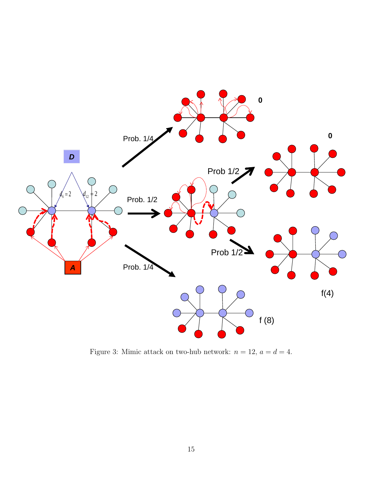

Figure 3: Mimic attack on two-hub network:  $n = 12$ ,  $a = d = 4$ .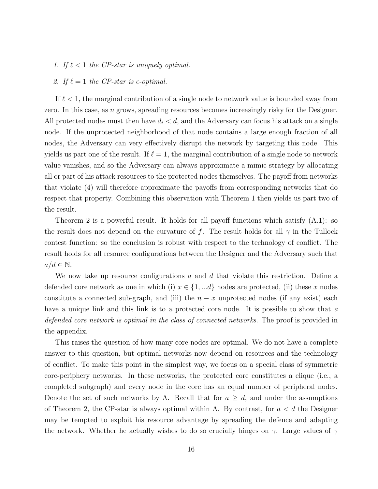- 1. If  $\ell < 1$  the CP-star is uniquely optimal.
- 2. If  $\ell = 1$  the CP-star is  $\epsilon$ -optimal.

If  $\ell < 1$ , the marginal contribution of a single node to network value is bounded away from zero. In this case, as *n* grows, spreading resources becomes increasingly risky for the Designer. All protected nodes must then have  $d_i < d$ , and the Adversary can focus his attack on a single node. If the unprotected neighborhood of that node contains a large enough fraction of all nodes, the Adversary can very effectively disrupt the network by targeting this node. This yields us part one of the result. If  $\ell = 1$ , the marginal contribution of a single node to network value vanishes, and so the Adversary can always approximate a mimic strategy by allocating all or part of his attack resources to the protected nodes themselves. The payoff from networks that violate (4) will therefore approximate the payoffs from corresponding networks that do respect that property. Combining this observation with Theorem 1 then yields us part two of the result.

Theorem 2 is a powerful result. It holds for all payoff functions which satisfy (A.1): so the result does not depend on the curvature of f. The result holds for all  $\gamma$  in the Tullock contest function: so the conclusion is robust with respect to the technology of conflict. The result holds for all resource configurations between the Designer and the Adversary such that  $a/d \in \mathbb{N}$ .

We now take up resource configurations a and d that violate this restriction. Define a defended core network as one in which (i)  $x \in \{1, \ldots d\}$  nodes are protected, (ii) these x nodes constitute a connected sub-graph, and (iii) the  $n - x$  unprotected nodes (if any exist) each have a unique link and this link is to a protected core node. It is possible to show that a defended core network is optimal in the class of connected networks. The proof is provided in the appendix.

This raises the question of how many core nodes are optimal. We do not have a complete answer to this question, but optimal networks now depend on resources and the technology of conflict. To make this point in the simplest way, we focus on a special class of symmetric core-periphery networks. In these networks, the protected core constitutes a clique (i.e., a completed subgraph) and every node in the core has an equal number of peripheral nodes. Denote the set of such networks by  $\Lambda$ . Recall that for  $a \geq d$ , and under the assumptions of Theorem 2, the CP-star is always optimal within  $\Lambda$ . By contrast, for  $a < d$  the Designer may be tempted to exploit his resource advantage by spreading the defence and adapting the network. Whether he actually wishes to do so crucially hinges on  $\gamma$ . Large values of  $\gamma$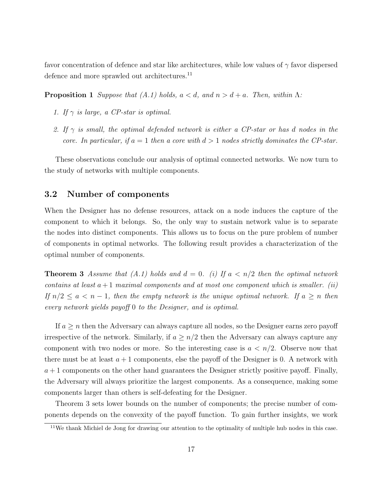favor concentration of defence and star like architectures, while low values of  $\gamma$  favor dispersed defence and more sprawled out architectures.<sup>11</sup>

**Proposition 1** Suppose that (A.1) holds,  $a < d$ , and  $n > d + a$ . Then, within  $\Lambda$ :

- 1. If  $\gamma$  is large, a CP-star is optimal.
- 2. If  $\gamma$  is small, the optimal defended network is either a CP-star or has d nodes in the core. In particular, if  $a = 1$  then a core with  $d > 1$  nodes strictly dominates the CP-star.

These observations conclude our analysis of optimal connected networks. We now turn to the study of networks with multiple components.

#### 3.2 Number of components

When the Designer has no defense resources, attack on a node induces the capture of the component to which it belongs. So, the only way to sustain network value is to separate the nodes into distinct components. This allows us to focus on the pure problem of number of components in optimal networks. The following result provides a characterization of the optimal number of components.

**Theorem 3** Assume that (A.1) holds and  $d = 0$ . (i) If  $a < n/2$  then the optimal network contains at least  $a+1$  maximal components and at most one component which is smaller. (ii) If  $n/2 \le a < n-1$ , then the empty network is the unique optimal network. If  $a \ge n$  then every network yields payoff 0 to the Designer, and is optimal.

If  $a \geq n$  then the Adversary can always capture all nodes, so the Designer earns zero payoff irrespective of the network. Similarly, if  $a \geq n/2$  then the Adversary can always capture any component with two nodes or more. So the interesting case is  $a < n/2$ . Observe now that there must be at least  $a + 1$  components, else the payoff of the Designer is 0. A network with  $a + 1$  components on the other hand guarantees the Designer strictly positive payoff. Finally, the Adversary will always prioritize the largest components. As a consequence, making some components larger than others is self-defeating for the Designer.

Theorem 3 sets lower bounds on the number of components; the precise number of components depends on the convexity of the payoff function. To gain further insights, we work

 $11$ We thank Michiel de Jong for drawing our attention to the optimality of multiple hub nodes in this case.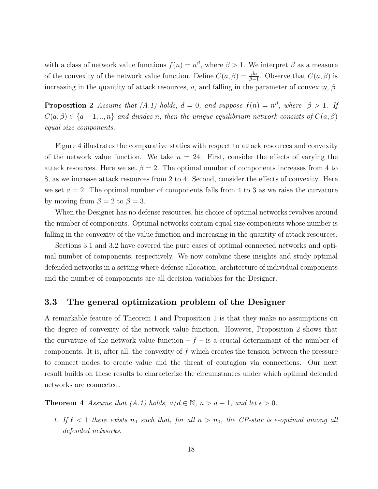with a class of network value functions  $f(n) = n^{\beta}$ , where  $\beta > 1$ . We interpret  $\beta$  as a measure of the convexity of the network value function. Define  $C(a, \beta) = \frac{\beta a}{\beta - 1}$ . Observe that  $C(a, \beta)$  is increasing in the quantity of attack resources, a, and falling in the parameter of convexity,  $\beta$ .

**Proposition 2** Assume that (A.1) holds,  $d = 0$ , and suppose  $f(n) = n^{\beta}$ , where  $\beta > 1$ . If  $C(a, \beta) \in \{a+1, ..., n\}$  and divides n, then the unique equilibrium network consists of  $C(a, \beta)$ equal size components.

Figure 4 illustrates the comparative statics with respect to attack resources and convexity of the network value function. We take  $n = 24$ . First, consider the effects of varying the attack resources. Here we set  $\beta = 2$ . The optimal number of components increases from 4 to 8, as we increase attack resources from 2 to 4. Second, consider the effects of convexity. Here we set  $a = 2$ . The optimal number of components falls from 4 to 3 as we raise the curvature by moving from  $\beta = 2$  to  $\beta = 3$ .

When the Designer has no defense resources, his choice of optimal networks revolves around the number of components. Optimal networks contain equal size components whose number is falling in the convexity of the value function and increasing in the quantity of attack resources.

Sections 3.1 and 3.2 have covered the pure cases of optimal connected networks and optimal number of components, respectively. We now combine these insights and study optimal defended networks in a setting where defense allocation, architecture of individual components and the number of components are all decision variables for the Designer.

#### 3.3 The general optimization problem of the Designer

A remarkable feature of Theorem 1 and Proposition 1 is that they make no assumptions on the degree of convexity of the network value function. However, Proposition 2 shows that the curvature of the network value function  $-f -$  is a crucial determinant of the number of components. It is, after all, the convexity of  $f$  which creates the tension between the pressure to connect nodes to create value and the threat of contagion via connections. Our next result builds on these results to characterize the circumstances under which optimal defended networks are connected.

**Theorem 4** Assume that  $(A.1)$  holds,  $a/d \in \mathbb{N}$ ,  $n > a+1$ , and let  $\epsilon > 0$ .

1. If  $\ell < 1$  there exists  $n_0$  such that, for all  $n > n_0$ , the CP-star is  $\epsilon$ -optimal among all defended networks.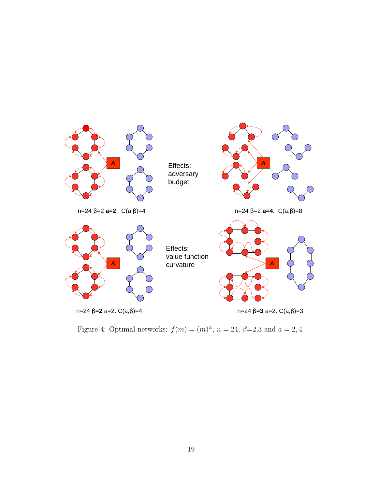

Figure 4: Optimal networks:  $f(m) = (m)^{\alpha}$ ,  $n = 24$ ,  $\beta = 2,3$  and  $a = 2,4$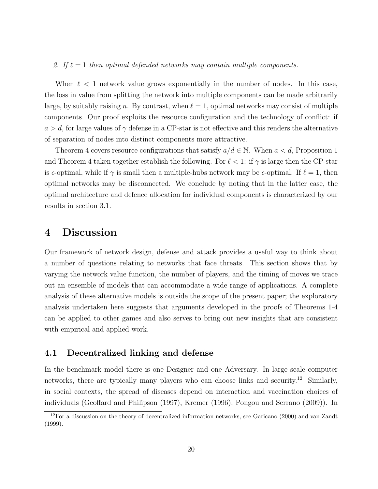#### 2. If  $\ell = 1$  then optimal defended networks may contain multiple components.

When  $\ell < 1$  network value grows exponentially in the number of nodes. In this case, the loss in value from splitting the network into multiple components can be made arbitrarily large, by suitably raising n. By contrast, when  $\ell = 1$ , optimal networks may consist of multiple components. Our proof exploits the resource configuration and the technology of conflict: if  $a > d$ , for large values of  $\gamma$  defense in a CP-star is not effective and this renders the alternative of separation of nodes into distinct components more attractive.

Theorem 4 covers resource configurations that satisfy  $a/d \in \mathbb{N}$ . When  $a < d$ , Proposition 1 and Theorem 4 taken together establish the following. For  $\ell < 1$ : if  $\gamma$  is large then the CP-star is  $\epsilon$ -optimal, while if  $\gamma$  is small then a multiple-hubs network may be  $\epsilon$ -optimal. If  $\ell = 1$ , then optimal networks may be disconnected. We conclude by noting that in the latter case, the optimal architecture and defence allocation for individual components is characterized by our results in section 3.1.

## 4 Discussion

Our framework of network design, defense and attack provides a useful way to think about a number of questions relating to networks that face threats. This section shows that by varying the network value function, the number of players, and the timing of moves we trace out an ensemble of models that can accommodate a wide range of applications. A complete analysis of these alternative models is outside the scope of the present paper; the exploratory analysis undertaken here suggests that arguments developed in the proofs of Theorems 1-4 can be applied to other games and also serves to bring out new insights that are consistent with empirical and applied work.

#### 4.1 Decentralized linking and defense

In the benchmark model there is one Designer and one Adversary. In large scale computer networks, there are typically many players who can choose links and security.<sup>12</sup> Similarly, in social contexts, the spread of diseases depend on interaction and vaccination choices of individuals (Geoffard and Philipson (1997), Kremer (1996), Pongou and Serrano (2009)). In

 $12$ For a discussion on the theory of decentralized information networks, see Garicano (2000) and van Zandt (1999).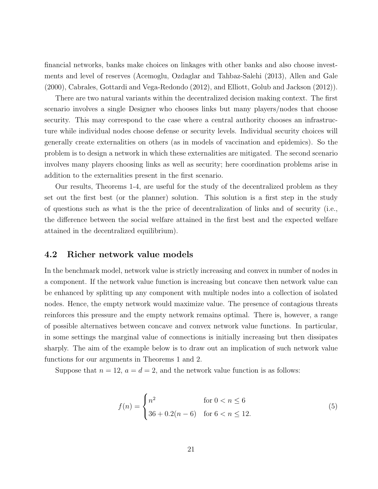financial networks, banks make choices on linkages with other banks and also choose investments and level of reserves (Acemoglu, Ozdaglar and Tahbaz-Salehi (2013), Allen and Gale (2000), Cabrales, Gottardi and Vega-Redondo (2012), and Elliott, Golub and Jackson (2012)).

There are two natural variants within the decentralized decision making context. The first scenario involves a single Designer who chooses links but many players/nodes that choose security. This may correspond to the case where a central authority chooses an infrastructure while individual nodes choose defense or security levels. Individual security choices will generally create externalities on others (as in models of vaccination and epidemics). So the problem is to design a network in which these externalities are mitigated. The second scenario involves many players choosing links as well as security; here coordination problems arise in addition to the externalities present in the first scenario.

Our results, Theorems 1-4, are useful for the study of the decentralized problem as they set out the first best (or the planner) solution. This solution is a first step in the study of questions such as what is the the price of decentralization of links and of security (i.e., the difference between the social welfare attained in the first best and the expected welfare attained in the decentralized equilibrium).

#### 4.2 Richer network value models

In the benchmark model, network value is strictly increasing and convex in number of nodes in a component. If the network value function is increasing but concave then network value can be enhanced by splitting up any component with multiple nodes into a collection of isolated nodes. Hence, the empty network would maximize value. The presence of contagious threats reinforces this pressure and the empty network remains optimal. There is, however, a range of possible alternatives between concave and convex network value functions. In particular, in some settings the marginal value of connections is initially increasing but then dissipates sharply. The aim of the example below is to draw out an implication of such network value functions for our arguments in Theorems 1 and 2.

Suppose that  $n = 12$ ,  $a = d = 2$ , and the network value function is as follows:

$$
f(n) = \begin{cases} n^2 & \text{for } 0 < n \le 6\\ 36 + 0.2(n - 6) & \text{for } 6 < n \le 12. \end{cases} \tag{5}
$$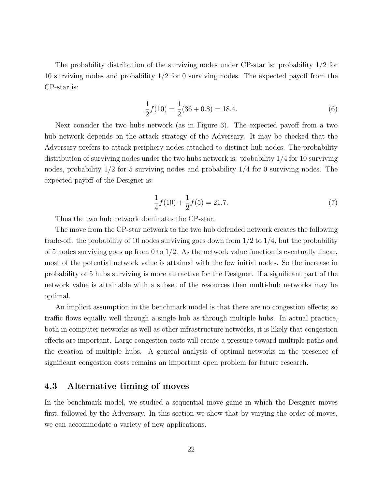The probability distribution of the surviving nodes under CP-star is: probability 1/2 for 10 surviving nodes and probability 1/2 for 0 surviving nodes. The expected payoff from the CP-star is:

$$
\frac{1}{2}f(10) = \frac{1}{2}(36 + 0.8) = 18.4.
$$
\n(6)

Next consider the two hubs network (as in Figure 3). The expected payoff from a two hub network depends on the attack strategy of the Adversary. It may be checked that the Adversary prefers to attack periphery nodes attached to distinct hub nodes. The probability distribution of surviving nodes under the two hubs network is: probability 1/4 for 10 surviving nodes, probability 1/2 for 5 surviving nodes and probability 1/4 for 0 surviving nodes. The expected payoff of the Designer is:

$$
\frac{1}{4}f(10) + \frac{1}{2}f(5) = 21.7.\tag{7}
$$

Thus the two hub network dominates the CP-star.

The move from the CP-star network to the two hub defended network creates the following trade-off: the probability of 10 nodes surviving goes down from  $1/2$  to  $1/4$ , but the probability of 5 nodes surviving goes up from 0 to  $1/2$ . As the network value function is eventually linear, most of the potential network value is attained with the few initial nodes. So the increase in probability of 5 hubs surviving is more attractive for the Designer. If a significant part of the network value is attainable with a subset of the resources then multi-hub networks may be optimal.

An implicit assumption in the benchmark model is that there are no congestion effects; so traffic flows equally well through a single hub as through multiple hubs. In actual practice, both in computer networks as well as other infrastructure networks, it is likely that congestion effects are important. Large congestion costs will create a pressure toward multiple paths and the creation of multiple hubs. A general analysis of optimal networks in the presence of significant congestion costs remains an important open problem for future research.

#### 4.3 Alternative timing of moves

In the benchmark model, we studied a sequential move game in which the Designer moves first, followed by the Adversary. In this section we show that by varying the order of moves, we can accommodate a variety of new applications.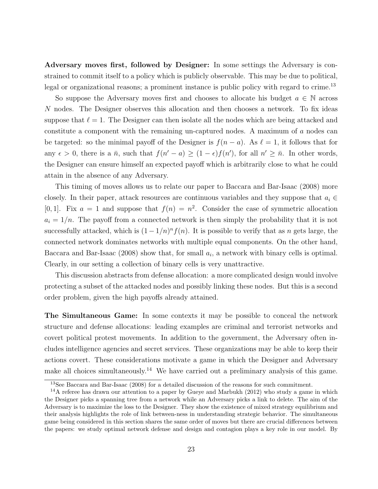Adversary moves first, followed by Designer: In some settings the Adversary is constrained to commit itself to a policy which is publicly observable. This may be due to political, legal or organizational reasons; a prominent instance is public policy with regard to crime.<sup>13</sup>

So suppose the Adversary moves first and chooses to allocate his budget  $a \in \mathbb{N}$  across N nodes. The Designer observes this allocation and then chooses a network. To fix ideas suppose that  $\ell = 1$ . The Designer can then isolate all the nodes which are being attacked and constitute a component with the remaining un-captured nodes. A maximum of a nodes can be targeted: so the minimal payoff of the Designer is  $f(n - a)$ . As  $\ell = 1$ , it follows that for any  $\epsilon > 0$ , there is a  $\bar{n}$ , such that  $f(n'-a) \geq (1-\epsilon)f(n')$ , for all  $n' \geq \bar{n}$ . In other words, the Designer can ensure himself an expected payoff which is arbitrarily close to what he could attain in the absence of any Adversary.

This timing of moves allows us to relate our paper to Baccara and Bar-Isaac (2008) more closely. In their paper, attack resources are continuous variables and they suppose that  $a_i \in$ [0, 1]. Fix  $a = 1$  and suppose that  $f(n) = n^2$ . Consider the case of symmetric allocation  $a_i = 1/n$ . The payoff from a connected network is then simply the probability that it is not successfully attacked, which is  $(1 - 1/n)^n f(n)$ . It is possible to verify that as n gets large, the connected network dominates networks with multiple equal components. On the other hand, Baccara and Bar-Isaac  $(2008)$  show that, for small  $a_i$ , a network with binary cells is optimal. Clearly, in our setting a collection of binary cells is very unattractive.

This discussion abstracts from defense allocation: a more complicated design would involve protecting a subset of the attacked nodes and possibly linking these nodes. But this is a second order problem, given the high payoffs already attained.

The Simultaneous Game: In some contexts it may be possible to conceal the network structure and defense allocations: leading examples are criminal and terrorist networks and covert political protest movements. In addition to the government, the Adversary often includes intelligence agencies and secret services. These organizations may be able to keep their actions covert. These considerations motivate a game in which the Designer and Adversary make all choices simultaneously.<sup>14</sup> We have carried out a preliminary analysis of this game.

<sup>13</sup>See Baccara and Bar-Isaac (2008) for a detailed discussion of the reasons for such commitment.

<sup>&</sup>lt;sup>14</sup>A referee has drawn our attention to a paper by Gueye and Marbukh (2012) who study a game in which the Designer picks a spanning tree from a network while an Adversary picks a link to delete. The aim of the Adversary is to maximize the loss to the Designer. They show the existence of mixed strategy equilibrium and their analysis highlights the role of link between-ness in understanding strategic behavior. The simultaneous game being considered in this section shares the same order of moves but there are crucial differences between the papers: we study optimal network defense and design and contagion plays a key role in our model. By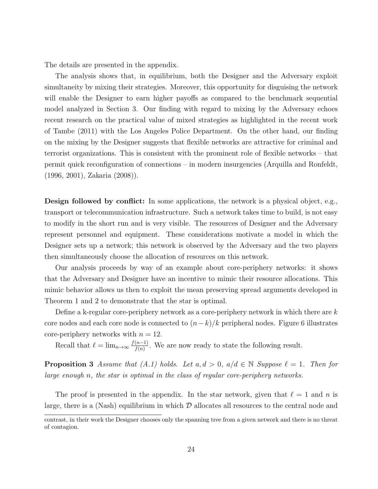The details are presented in the appendix.

The analysis shows that, in equilibrium, both the Designer and the Adversary exploit simultaneity by mixing their strategies. Moreover, this opportunity for disguising the network will enable the Designer to earn higher payoffs as compared to the benchmark sequential model analyzed in Section 3. Our finding with regard to mixing by the Adversary echoes recent research on the practical value of mixed strategies as highlighted in the recent work of Tambe (2011) with the Los Angeles Police Department. On the other hand, our finding on the mixing by the Designer suggests that flexible networks are attractive for criminal and terrorist organizations. This is consistent with the prominent role of flexible networks – that permit quick reconfiguration of connections – in modern insurgencies (Arquilla and Ronfeldt, (1996, 2001), Zakaria (2008)).

Design followed by conflict: In some applications, the network is a physical object, e.g., transport or telecommunication infrastructure. Such a network takes time to build, is not easy to modify in the short run and is very visible. The resources of Designer and the Adversary represent personnel and equipment. These considerations motivate a model in which the Designer sets up a network; this network is observed by the Adversary and the two players then simultaneously choose the allocation of resources on this network.

Our analysis proceeds by way of an example about core-periphery networks: it shows that the Adversary and Designer have an incentive to mimic their resource allocations. This mimic behavior allows us then to exploit the mean preserving spread arguments developed in Theorem 1 and 2 to demonstrate that the star is optimal.

Define a k-regular core-periphery network as a core-periphery network in which there are  $k$ core nodes and each core node is connected to  $(n-k)/k$  peripheral nodes. Figure 6 illustrates core-periphery networks with  $n = 12$ .

Recall that  $\ell = \lim_{n \to \infty} \frac{f(n-1)}{f(n)}$  $\frac{(n-1)}{f(n)}$ . We are now ready to state the following result.

**Proposition 3** Assume that  $(A.1)$  holds. Let  $a, d > 0$ ,  $a/d \in \mathbb{N}$  Suppose  $\ell = 1$ . Then for large enough n, the star is optimal in the class of regular core-periphery networks.

The proof is presented in the appendix. In the star network, given that  $\ell = 1$  and n is large, there is a (Nash) equilibrium in which  $\mathcal D$  allocates all resources to the central node and

contrast, in their work the Designer chooses only the spanning tree from a given network and there is no threat of contagion.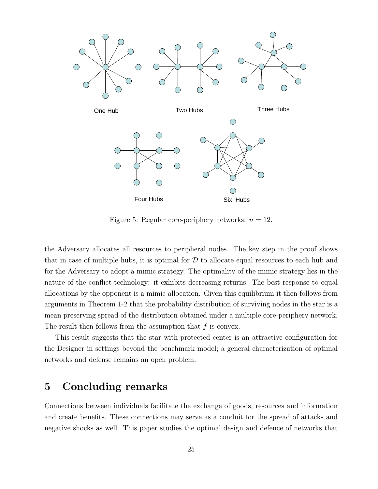

Figure 5: Regular core-periphery networks:  $n = 12$ .

the Adversary allocates all resources to peripheral nodes. The key step in the proof shows that in case of multiple hubs, it is optimal for  $D$  to allocate equal resources to each hub and for the Adversary to adopt a mimic strategy. The optimality of the mimic strategy lies in the nature of the conflict technology: it exhibits decreasing returns. The best response to equal allocations by the opponent is a mimic allocation. Given this equilibrium it then follows from arguments in Theorem 1-2 that the probability distribution of surviving nodes in the star is a mean preserving spread of the distribution obtained under a multiple core-periphery network. The result then follows from the assumption that  $f$  is convex.

This result suggests that the star with protected center is an attractive configuration for the Designer in settings beyond the benchmark model; a general characterization of optimal networks and defense remains an open problem.

## 5 Concluding remarks

Connections between individuals facilitate the exchange of goods, resources and information and create benefits. These connections may serve as a conduit for the spread of attacks and negative shocks as well. This paper studies the optimal design and defence of networks that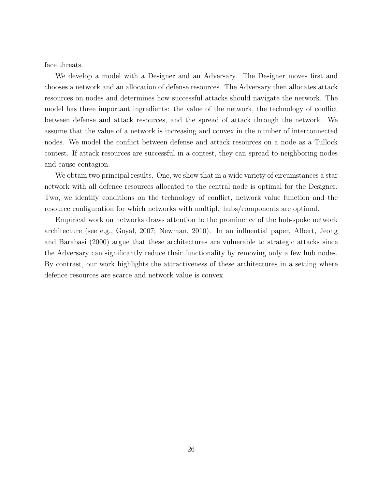face threats.

We develop a model with a Designer and an Adversary. The Designer moves first and chooses a network and an allocation of defense resources. The Adversary then allocates attack resources on nodes and determines how successful attacks should navigate the network. The model has three important ingredients: the value of the network, the technology of conflict between defense and attack resources, and the spread of attack through the network. We assume that the value of a network is increasing and convex in the number of interconnected nodes. We model the conflict between defense and attack resources on a node as a Tullock contest. If attack resources are successful in a contest, they can spread to neighboring nodes and cause contagion.

We obtain two principal results. One, we show that in a wide variety of circumstances a star network with all defence resources allocated to the central node is optimal for the Designer. Two, we identify conditions on the technology of conflict, network value function and the resource configuration for which networks with multiple hubs/components are optimal.

Empirical work on networks draws attention to the prominence of the hub-spoke network architecture (see e.g., Goyal, 2007; Newman, 2010). In an influential paper, Albert, Jeong and Barabasi (2000) argue that these architectures are vulnerable to strategic attacks since the Adversary can significantly reduce their functionality by removing only a few hub nodes. By contrast, our work highlights the attractiveness of these architectures in a setting where defence resources are scarce and network value is convex.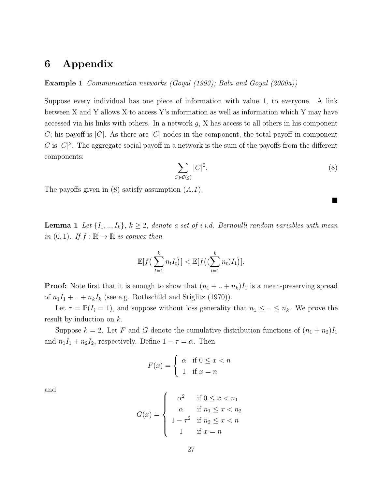## 6 Appendix

Example 1 Communication networks (Goyal (1993); Bala and Goyal (2000a))

Suppose every individual has one piece of information with value 1, to everyone. A link between X and Y allows X to access Y's information as well as information which Y may have accessed via his links with others. In a network  $q$ , X has access to all others in his component C; his payoff is |C|. As there are |C| nodes in the component, the total payoff in component C is  $|C|^2$ . The aggregate social payoff in a network is the sum of the payoffs from the different components:

$$
\sum_{C \in \mathcal{C}(g)} |C|^2. \tag{8}
$$

■

The payoffs given in  $(8)$  satisfy assumption  $(A.1)$ .

**Lemma 1** Let  $\{I_1, ..., I_k\}, k \geq 2$ , denote a set of i.i.d. Bernoulli random variables with mean in  $(0, 1)$ . If  $f : \mathbb{R} \to \mathbb{R}$  is convex then

$$
\mathbb{E}[f\left(\sum_{t=1}^k n_t I_t\right)] < \mathbb{E}[f\left((\sum_{t=1}^k n_t)I_1\right)].
$$

**Proof:** Note first that it is enough to show that  $(n_1 + ... + n_k)I_1$  is a mean-preserving spread of  $n_1I_1 + ... + n_kI_k$  (see e.g. Rothschild and Stiglitz (1970)).

Let  $\tau = \mathbb{P}(I_i = 1)$ , and suppose without loss generality that  $n_1 \leq \ldots \leq n_k$ . We prove the result by induction on k.

Suppose  $k = 2$ . Let F and G denote the cumulative distribution functions of  $(n_1 + n_2)I_1$ and  $n_1I_1 + n_2I_2$ , respectively. Define  $1 - \tau = \alpha$ . Then

$$
F(x) = \begin{cases} \alpha & \text{if } 0 \le x < n \\ 1 & \text{if } x = n \end{cases}
$$

and

$$
G(x) = \begin{cases} \alpha^2 & \text{if } 0 \le x < n_1 \\ \alpha & \text{if } n_1 \le x < n_2 \\ 1 - \tau^2 & \text{if } n_2 \le x < n \\ 1 & \text{if } x = n \end{cases}
$$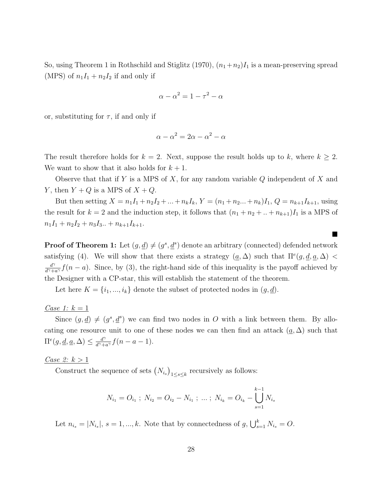So, using Theorem 1 in Rothschild and Stiglitz (1970),  $(n_1+n_2)I_1$  is a mean-preserving spread (MPS) of  $n_1I_1 + n_2I_2$  if and only if

$$
\alpha - \alpha^2 = 1 - \tau^2 - \alpha
$$

or, substituting for  $\tau$ , if and only if

$$
\alpha - \alpha^2 = 2\alpha - \alpha^2 - \alpha
$$

The result therefore holds for  $k = 2$ . Next, suppose the result holds up to k, where  $k \geq 2$ . We want to show that it also holds for  $k + 1$ .

Observe that that if Y is a MPS of X, for any random variable  $Q$  independent of X and Y, then  $Y + Q$  is a MPS of  $X + Q$ .

But then setting  $X = n_1I_1 + n_2I_2 + ... + n_kI_k$ ,  $Y = (n_1 + n_2 ... + n_k)I_1$ ,  $Q = n_{k+1}I_{k+1}$ , using the result for  $k = 2$  and the induction step, it follows that  $(n_1 + n_2 + ... + n_{k+1})I_1$  is a MPS of  $n_1I_1 + n_2I_2 + n_3I_3 + n_{k+1}I_{k+1}.$ 

■

**Proof of Theorem 1:** Let  $(g, \underline{d}) \neq (g^s, \underline{d}^s)$  denote an arbitrary (connected) defended network satisfying (4). We will show that there exists a strategy  $(\underline{a}, \Delta)$  such that  $\Pi^{e}(g, \underline{d}, \underline{a}, \Delta)$  <  $d^{\gamma}$  $\frac{d^{\gamma}}{d^{\gamma}+a^{\gamma}}f(n-a)$ . Since, by (3), the right-hand side of this inequality is the payoff achieved by the Designer with a CP-star, this will establish the statement of the theorem.

Let here  $K = \{i_1, ..., i_k\}$  denote the subset of protected nodes in  $(g, \underline{d})$ .

#### Case 1:  $k=1$

Since  $(g, d) \neq (g^s, d^s)$  we can find two nodes in O with a link between them. By allocating one resource unit to one of these nodes we can then find an attack  $(\underline{a}, \Delta)$  such that  $\Pi^e(g,\underline{d},\underline{a},\Delta) \leq \frac{d^{\gamma}}{d^{\gamma}+1}$  $\frac{d^{\gamma}}{d^{\gamma}+a^{\gamma}}f(n-a-1).$ 

#### Case 2:  $k > 1$

Construct the sequence of sets  $(N_{i_s})_{1 \leq s \leq k}$  recursively as follows:

$$
N_{i_1} = O_{i_1} \; ; \; N_{i_2} = O_{i_2} - N_{i_1} \; ; \; \dots \; ; \; N_{i_k} = O_{i_k} - \bigcup_{s=1}^{k-1} N_{i_s}
$$

Let  $n_{i_s} = |N_{i_s}|$ ,  $s = 1, ..., k$ . Note that by connectedness of  $g, \bigcup_{s=1}^k N_{i_s} = O$ .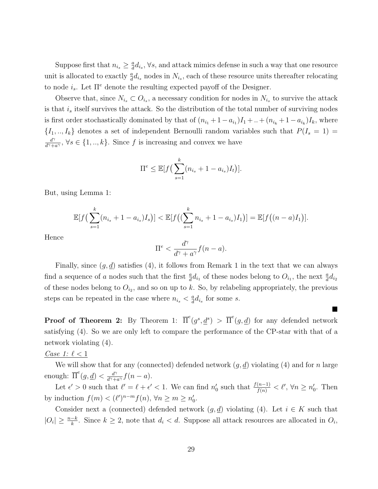Suppose first that  $n_{i_s} \geq \frac{a}{d}$  $\frac{a}{d}d_{i_s}$ ,  $\forall s$ , and attack mimics defense in such a way that one resource unit is allocated to exactly  $\frac{a}{d}d_{i_s}$  nodes in  $N_{i_s}$ , each of these resource units thereafter relocating to node  $i_s$ . Let  $\Pi^e$  denote the resulting expected payoff of the Designer.

Observe that, since  $N_{i_s} \subset O_{i_s}$ , a necessary condition for nodes in  $N_{i_s}$  to survive the attack is that  $i_s$  itself survives the attack. So the distribution of the total number of surviving nodes is first order stochastically dominated by that of  $(n_{i_1}+1-a_{i_1})I_1 + ... + (n_{i_k}+1-a_{i_k})I_k$ , where  $\{I_1, ..., I_k\}$  denotes a set of independent Bernoulli random variables such that  $P(I_s = 1)$  $d^{\gamma}$  $\frac{d^{\gamma}}{d^{\gamma}+a^{\gamma}}$ ,  $\forall s \in \{1, ..., k\}$ . Since f is increasing and convex we have

$$
\Pi^{e} \leq \mathbb{E}[f(\sum_{s=1}^{k} (n_{i_s} + 1 - a_{i_s})I_t)].
$$

But, using Lemma 1:

$$
\mathbb{E}[f\left(\sum_{s=1}^k (n_{i_s} + 1 - a_{i_s})I_s\right)] < \mathbb{E}[f\left(\left(\sum_{s=1}^k n_{i_s} + 1 - a_{i_s}\right)I_1\right)] = \mathbb{E}[f\left((n-a)I_1\right)].
$$

Hence

$$
\Pi^e < \frac{d^\gamma}{d^\gamma + a^\gamma} f(n - a).
$$

Finally, since  $(g, d)$  satisfies (4), it follows from Remark 1 in the text that we can always find a sequence of a nodes such that the first  $\frac{a}{d}d_{i_1}$  of these nodes belong to  $O_{i_1}$ , the next  $\frac{a}{d}d_{i_2}$ of these nodes belong to  $O_{i_2}$ , and so on up to k. So, by relabeling appropriately, the previous steps can be repeated in the case where  $n_{i_s} < \frac{a}{d}$  $\frac{a}{d}d_{i_s}$  for some s.

**Proof of Theorem 2:** By Theorem 1:  $\overline{\Pi}^e(g^s, \underline{d}^s) > \overline{\Pi}^e(g, \underline{d})$  for any defended network satisfying (4). So we are only left to compare the performance of the CP-star with that of a network violating (4).

 $\blacksquare$ 

#### Case 1:  $\ell < 1$

We will show that for any (connected) defended network  $(g, d)$  violating (4) and for n large enough:  $\overline{\Pi}^e(g, \underline{d}) < \frac{d^{\gamma}}{d\gamma + 1}$  $\frac{d^{\gamma}}{d^{\gamma}+a^{\gamma}}f(n-a).$ 

Let  $\epsilon' > 0$  such that  $\ell' = \ell + \epsilon' < 1$ . We can find  $n'_0$  such that  $\frac{f(n-1)}{f(n)} < \ell'$ ,  $\forall n \geq n'_0$ . Then by induction  $f(m) < (\ell')^{n-m} f(n), \forall n \ge m \ge n'_0$ .

Consider next a (connected) defended network  $(g, \underline{d})$  violating (4). Let  $i \in K$  such that  $|O_i| \geq \frac{n-k}{k}$ . Since  $k \geq 2$ , note that  $d_i < d$ . Suppose all attack resources are allocated in  $O_i$ ,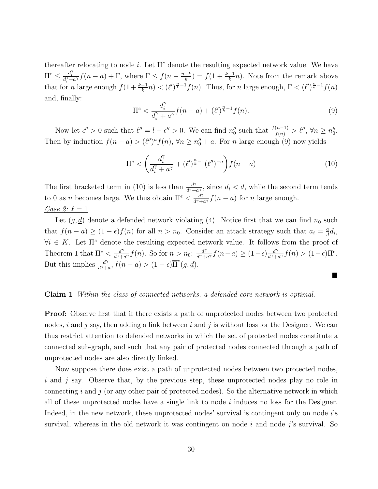thereafter relocating to node i. Let  $\Pi^e$  denote the resulting expected network value. We have  $\Pi^e \leq \frac{d_i^{\gamma}}{d_i^{\gamma} + a^{\gamma}} f(n-a) + \Gamma$ , where  $\Gamma \leq f(n - \frac{n-k}{k})$  $(\frac{-k}{k}) = f(1 + \frac{k-1}{k}n)$ . Note from the remark above that for n large enough  $f(1+\frac{k-1}{k}n) < (\ell')^{\frac{n}{k}-1}f(n)$ . Thus, for n large enough,  $\Gamma < (\ell')^{\frac{n}{k}-1}f(n)$ and, finally:

$$
\Pi^{e} < \frac{d_i^{\gamma}}{d_i^{\gamma} + a^{\gamma}} f(n - a) + (\ell')^{\frac{n}{k} - 1} f(n). \tag{9}
$$

Now let  $\epsilon'' > 0$  such that  $\ell'' = l - \epsilon'' > 0$ . We can find  $n''_0$  such that  $\frac{f(n-1)}{f(n)} > \ell''$ ,  $\forall n \geq n''_0$ . Then by induction  $f(n-a) > (\ell'')^a f(n)$ ,  $\forall n \geq n''_0 + a$ . For n large enough (9) now yields

$$
\Pi^e < \left(\frac{d_i^\gamma}{d_i^\gamma + a^\gamma} + (\ell')^{\frac{n}{k}-1} (\ell'')^{-a}\right) f(n-a) \tag{10}
$$

п

The first bracketed term in (10) is less than  $\frac{d^{\gamma}}{dx^{\gamma}}$  $\frac{d^{\gamma}}{d^{\gamma}+a^{\gamma}}$ , since  $d_i < d$ , while the second term tends to 0 as n becomes large. We thus obtain  $\prod^e \leq \frac{d^{\gamma}}{d^{\gamma}+1}$  $\frac{d^{\gamma}}{d^{\gamma}+a^{\gamma}}f(n-a)$  for *n* large enough. <u>Case 2:  $\ell = 1$ </u>

Let  $(g, d)$  denote a defended network violating (4). Notice first that we can find  $n_0$  such that  $f(n-a) \ge (1-\epsilon)f(n)$  for all  $n > n_0$ . Consider an attack strategy such that  $a_i = \frac{a}{d}$  $\frac{a}{d}d_i,$  $\forall i \in K$ . Let  $\Pi^e$  denote the resulting expected network value. It follows from the proof of Theorem 1 that  $\prod^e \frac{d^{\gamma}}{d^{\gamma}+1}$  $\frac{d^{\gamma}}{d^{\gamma}+a^{\gamma}}f(n)$ . So for  $n>n_0$ :  $\frac{d^{\gamma}}{d^{\gamma}+a^{\gamma}}$  $\frac{d^{\gamma}}{d^{\gamma}+a^{\gamma}}f(n-a) \geq (1-\epsilon)\frac{d^{\gamma}}{d^{\gamma}+a^{\gamma}}$  $\frac{d^{\gamma}}{d^{\gamma}+a^{\gamma}}f(n) > (1-\epsilon)\Pi^{e}.$ But this implies  $\frac{d^{\gamma}}{d\gamma + 1}$  $\frac{d^{\gamma}}{d^{\gamma}+a^{\gamma}} f(n-a) > (1-\epsilon)\overline{\Pi}^e(g, \underline{d}).$ 

#### Claim 1 Within the class of connected networks, a defended core network is optimal.

Proof: Observe first that if there exists a path of unprotected nodes between two protected nodes, i and j say, then adding a link between i and j is without loss for the Designer. We can thus restrict attention to defended networks in which the set of protected nodes constitute a connected sub-graph, and such that any pair of protected nodes connected through a path of unprotected nodes are also directly linked.

Now suppose there does exist a path of unprotected nodes between two protected nodes, i and j say. Observe that, by the previous step, these unprotected nodes play no role in connecting i and j (or any other pair of protected nodes). So the alternative network in which all of these unprotected nodes have a single link to node  $i$  induces no loss for the Designer. Indeed, in the new network, these unprotected nodes' survival is contingent only on node i's survival, whereas in the old network it was contingent on node  $i$  and node  $j$ 's survival. So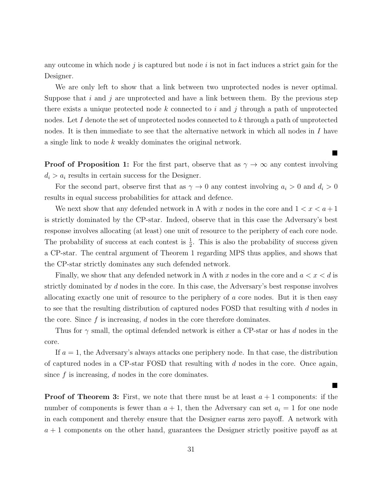any outcome in which node j is captured but node i is not in fact induces a strict gain for the Designer.

We are only left to show that a link between two unprotected nodes is never optimal. Suppose that  $i$  and  $j$  are unprotected and have a link between them. By the previous step there exists a unique protected node k connected to i and j through a path of unprotected nodes. Let I denote the set of unprotected nodes connected to k through a path of unprotected nodes. It is then immediate to see that the alternative network in which all nodes in I have a single link to node k weakly dominates the original network.

**Proof of Proposition 1:** For the first part, observe that as  $\gamma \to \infty$  any contest involving  $d_i > a_i$  results in certain success for the Designer.

 $\blacksquare$ 

 $\blacksquare$ 

For the second part, observe first that as  $\gamma \to 0$  any contest involving  $a_i > 0$  and  $d_i > 0$ results in equal success probabilities for attack and defence.

We next show that any defended network in  $\Lambda$  with x nodes in the core and  $1 < x < a + 1$ is strictly dominated by the CP-star. Indeed, observe that in this case the Adversary's best response involves allocating (at least) one unit of resource to the periphery of each core node. The probability of success at each contest is  $\frac{1}{2}$ . This is also the probability of success given a CP-star. The central argument of Theorem 1 regarding MPS thus applies, and shows that the CP-star strictly dominates any such defended network.

Finally, we show that any defended network in  $\Lambda$  with x nodes in the core and  $a < x < d$  is strictly dominated by  $d$  nodes in the core. In this case, the Adversary's best response involves allocating exactly one unit of resource to the periphery of a core nodes. But it is then easy to see that the resulting distribution of captured nodes FOSD that resulting with d nodes in the core. Since  $f$  is increasing,  $d$  nodes in the core therefore dominates.

Thus for  $\gamma$  small, the optimal defended network is either a CP-star or has d nodes in the core.

If  $a = 1$ , the Adversary's always attacks one periphery node. In that case, the distribution of captured nodes in a CP-star FOSD that resulting with  $d$  nodes in the core. Once again, since  $f$  is increasing,  $d$  nodes in the core dominates.

**Proof of Theorem 3:** First, we note that there must be at least  $a + 1$  components: if the number of components is fewer than  $a + 1$ , then the Adversary can set  $a_i = 1$  for one node in each component and thereby ensure that the Designer earns zero payoff. A network with  $a + 1$  components on the other hand, guarantees the Designer strictly positive payoff as at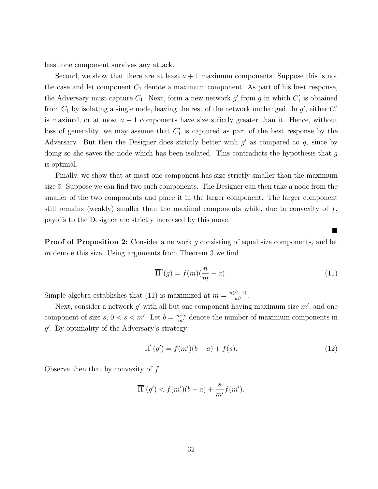least one component survives any attack.

Second, we show that there are at least  $a+1$  maximum components. Suppose this is not the case and let component  $C_1$  denote a maximum component. As part of his best response, the Adversary must capture  $C_1$ . Next, form a new network  $g'$  from  $g$  in which  $C'_1$  is obtained from  $C_1$  by isolating a single node, leaving the rest of the network unchanged. In  $g'$ , either  $C'_1$ is maximal, or at most  $a - 1$  components have size strictly greater than it. Hence, without loss of generality, we may assume that  $C_1'$  is captured as part of the best response by the Adversary. But then the Designer does strictly better with  $g'$  as compared to  $g$ , since by doing so she saves the node which has been isolated. This contradicts the hypothesis that  $q$ is optimal.

Finally, we show that at most one component has size strictly smaller than the maximum size  $\bar{s}$ . Suppose we can find two such components. The Designer can then take a node from the smaller of the two components and place it in the larger component. The larger component still remains (weakly) smaller than the maximal components while, due to convexity of  $f$ , payoffs to the Designer are strictly increased by this move.

**Proof of Proposition 2:** Consider a network g consisting of equal size components, and let m denote this size. Using arguments from Theorem 3 we find

$$
\overline{\Pi}^{e}(g) = f(m)\left(\frac{n}{m} - a\right). \tag{11}
$$

ш

Simple algebra establishes that (11) is maximized at  $m = \frac{n(\beta - 1)}{a\beta}$ .

Next, consider a network  $g'$  with all but one component having maximum size  $m'$ , and one component of size  $s, 0 < s < m'$ . Let  $b = \frac{n-s}{m'}$  denote the number of maximum components in g 0 . By optimality of the Adversary's strategy:

$$
\overline{\Pi}^{e}(g') = f(m')(b - a) + f(s).
$$
\n(12)

Observe then that by convexity of  $f$ 

$$
\overline{\Pi}^e(g') < f(m')(b-a) + \frac{s}{m'}f(m').
$$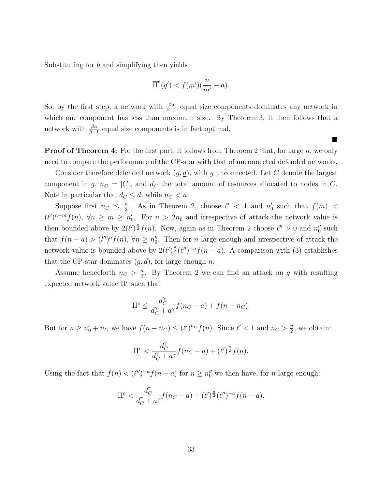Substituting for b and simplifying then yields

$$
\overline{\Pi}^e(g') < f(m')\left(\frac{n}{m'} - a\right).
$$

So, by the first step, a network with  $\frac{\beta a}{\beta - 1}$  equal size components dominates any network in which one component has less than maximum size. By Theorem 3, it then follows that a network with  $\frac{\beta a}{\beta - 1}$  equal size components is in fact optimal.

**Proof of Theorem 4:** For the first part, it follows from Theorem 2 that, for large n, we only need to compare the performance of the CP-star with that of unconnected defended networks.

п

Consider therefore defended network  $(g, d)$ , with g unconnected. Let C denote the largest component in g,  $n_C = |C|$ , and  $d_C$  the total amount of resources allocated to nodes in C. Note in particular that  $d_C \leq d$ , while  $n_C < n$ .

Suppose first  $n_C \leq \frac{n}{2}$  $\frac{n}{2}$ . As in Theorem 2, choose  $\ell' < 1$  and  $n'_0$  such that  $f(m) <$  $(\ell')^{n-m} f(n)$ ,  $\forall n \geq m \geq n_0'$ . For  $n > 2n_0$  and irrespective of attack the network value is then bounded above by  $2(\ell')^{\frac{n}{2}}f(n)$ . Now, again as in Theorem 2 choose  $\ell'' > 0$  and  $n''_0$  such that  $f(n-a) > (l'')^a f(n), \forall n \geq n''_0$ . Then for n large enough and irrespective of attack the network value is bounded above by  $2(\ell')^{\frac{n}{2}}(\ell'')^{-a}f(n-a)$ . A comparison with (3) establishes that the CP-star dominates  $(q, d)$ , for large enough n.

Assume henceforth  $n_C > \frac{n}{2}$  $\frac{n}{2}$ . By Theorem 2 we can find an attack on g with resulting expected network value  $\Pi^e$  such that

$$
\Pi^e \le \frac{d_C^{\gamma}}{d_C^{\gamma} + a^{\gamma}} f(n_C - a) + f(n - n_C).
$$

But for  $n \ge n'_0 + n_C$  we have  $f(n - n_C) \le (\ell')^{n_C} f(n)$ . Since  $\ell' < 1$  and  $n_C > \frac{n}{2}$  $\frac{n}{2}$ , we obtain:

$$
\Pi^e < \frac{d_C^{\gamma}}{d_C^{\gamma} + a^{\gamma}} f(n_C - a) + (\ell')^{\frac{n}{2}} f(n).
$$

Using the fact that  $f(n) < (\ell'')^{-a} f(n-a)$  for  $n \geq n_0''$  we then have, for n large enough:

$$
\Pi^{e} < \frac{d_C^{\gamma}}{d_C^{\gamma} + a^{\gamma}} f(n_C - a) + (\ell')^{\frac{n}{2}} (\ell'')^{-a} f(n - a).
$$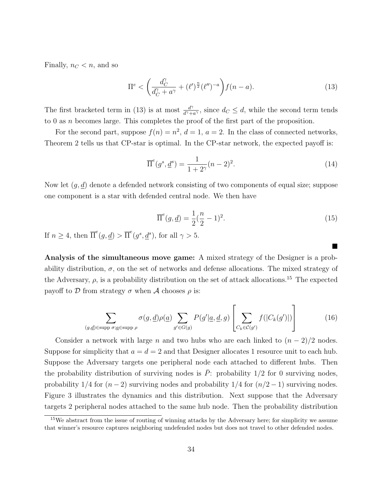Finally,  $n_C < n$ , and so

$$
\Pi^{e} < \left(\frac{d_C^{\gamma}}{d_C^{\gamma} + a^{\gamma}} + (\ell')^{\frac{n}{2}} (\ell'')^{-a}\right) f(n - a). \tag{13}
$$

The first bracketed term in (13) is at most  $\frac{d^{\gamma}}{dx}$  $\frac{d^{\gamma}}{d^{\gamma}+a^{\gamma}}$ , since  $d_C \leq d$ , while the second term tends to 0 as *n* becomes large. This completes the proof of the first part of the proposition.

For the second part, suppose  $f(n) = n^2$ ,  $d = 1$ ,  $a = 2$ . In the class of connected networks, Theorem 2 tells us that CP-star is optimal. In the CP-star network, the expected payoff is:

$$
\overline{\Pi}^{e}(g^{s}, \underline{d}^{s}) = \frac{1}{1+2^{\gamma}}(n-2)^{2}.
$$
\n(14)

Now let  $(g, \underline{d})$  denote a defended network consisting of two components of equal size; suppose one component is a star with defended central node. We then have

$$
\overline{\Pi}^{e}(g, \underline{d}) = \frac{1}{2}(\frac{n}{2} - 1)^{2}.
$$
\n(15)

■

If  $n \geq 4$ , then  $\overline{\Pi}^e(g, \underline{d}) > \overline{\Pi}^e(g^s, \underline{d}^s)$ , for all  $\gamma > 5$ .

Analysis of the simultaneous move game: A mixed strategy of the Designer is a probability distribution,  $\sigma$ , on the set of networks and defense allocations. The mixed strategy of the Adversary,  $\rho$ , is a probability distribution on the set of attack allocations.<sup>15</sup> The expected payoff to D from strategy  $\sigma$  when A chooses  $\rho$  is:

$$
\sum_{(g,d)\in \text{supp }\sigma; \underline{a}\in \text{supp }\rho} \sigma(g,\underline{d})\rho(\underline{a}) \sum_{g'\in G(g)} P(g'|\underline{a},\underline{d},g) \left[ \sum_{C_k \in \mathcal{C}(g')} f(|C_k(g')|) \right] \tag{16}
$$

Consider a network with large n and two hubs who are each linked to  $(n-2)/2$  nodes. Suppose for simplicity that  $a = d = 2$  and that Designer allocates 1 resource unit to each hub. Suppose the Adversary targets one peripheral node each attached to different hubs. Then the probability distribution of surviving nodes is  $\overline{P}$ : probability 1/2 for 0 surviving nodes, probability 1/4 for  $(n-2)$  surviving nodes and probability 1/4 for  $(n/2-1)$  surviving nodes. Figure 3 illustrates the dynamics and this distribution. Next suppose that the Adversary targets 2 peripheral nodes attached to the same hub node. Then the probability distribution

<sup>&</sup>lt;sup>15</sup>We abstract from the issue of routing of winning attacks by the Adversary here; for simplicity we assume that winner's resource captures neighboring undefended nodes but does not travel to other defended nodes.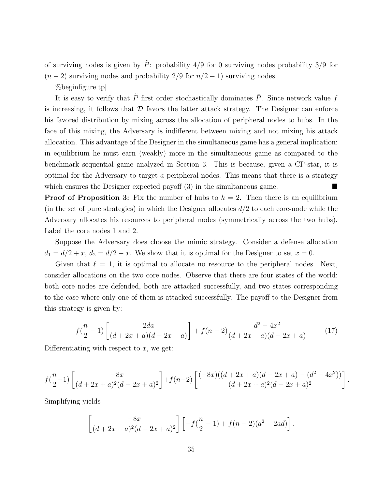of surviving nodes is given by  $\tilde{P}$ : probability 4/9 for 0 surviving nodes probability 3/9 for  $(n-2)$  surviving nodes and probability 2/9 for  $n/2-1$ ) surviving nodes.

%beginfigure[tp]

It is easy to verify that  $\tilde{P}$  first order stochastically dominates  $\bar{P}$ . Since network value f is increasing, it follows that  $\mathcal D$  favors the latter attack strategy. The Designer can enforce his favored distribution by mixing across the allocation of peripheral nodes to hubs. In the face of this mixing, the Adversary is indifferent between mixing and not mixing his attack allocation. This advantage of the Designer in the simultaneous game has a general implication: in equilibrium he must earn (weakly) more in the simultaneous game as compared to the benchmark sequential game analyzed in Section 3. This is because, given a CP-star, it is optimal for the Adversary to target a peripheral nodes. This means that there is a strategy which ensures the Designer expected payoff (3) in the simultaneous game.

**Proof of Proposition 3:** Fix the number of hubs to  $k = 2$ . Then there is an equilibrium (in the set of pure strategies) in which the Designer allocates  $d/2$  to each core-node while the Adversary allocates his resources to peripheral nodes (symmetrically across the two hubs). Label the core nodes 1 and 2.

Suppose the Adversary does choose the mimic strategy. Consider a defense allocation  $d_1 = d/2 + x$ ,  $d_2 = d/2 - x$ . We show that it is optimal for the Designer to set  $x = 0$ .

Given that  $\ell = 1$ , it is optimal to allocate no resource to the peripheral nodes. Next, consider allocations on the two core nodes. Observe that there are four states of the world: both core nodes are defended, both are attacked successfully, and two states corresponding to the case where only one of them is attacked successfully. The payoff to the Designer from this strategy is given by:

$$
f(\frac{n}{2}-1)\left[\frac{2da}{(d+2x+a)(d-2x+a)}\right] + f(n-2)\frac{d^2-4x^2}{(d+2x+a)(d-2x+a)}
$$
(17)

.

Differentiating with respect to  $x$ , we get:

$$
f\left(\frac{n}{2}-1\right)\left[\frac{-8x}{(d+2x+a)^2(d-2x+a)^2}\right] + f(n-2)\left[\frac{(-8x)((d+2x+a)(d-2x+a)-(d^2-4x^2))}{(d+2x+a)^2(d-2x+a)^2}\right]
$$

Simplifying yields

$$
\[\frac{-8x}{(d+2x+a)^2(d-2x+a)^2}\] \[-f(\frac{n}{2}-1) + f(n-2)(a^2+2ad)\].
$$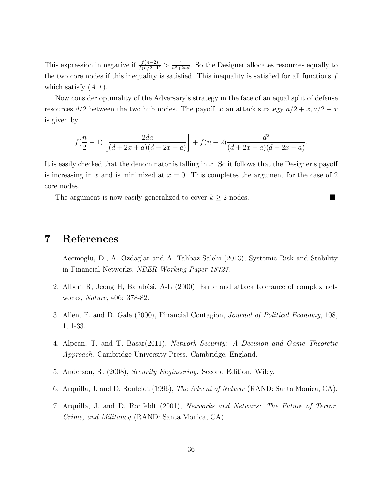This expression in negative if  $\frac{f(n-2)}{f(n/2-1)} > \frac{1}{a^2+1}$  $\frac{1}{a^2+2ad}$ . So the Designer allocates resources equally to the two core nodes if this inequality is satisfied. This inequality is satisfied for all functions  $f$ which satisfy  $(A.1)$ .

Now consider optimality of the Adversary's strategy in the face of an equal split of defense resources  $d/2$  between the two hub nodes. The payoff to an attack strategy  $a/2 + x$ ,  $a/2 - x$ is given by

$$
f(\frac{n}{2}-1)\left[\frac{2da}{(d+2x+a)(d-2x+a)}\right] + f(n-2)\frac{d^2}{(d+2x+a)(d-2x+a)}.
$$

It is easily checked that the denominator is falling in  $x$ . So it follows that the Designer's payoff is increasing in x and is minimized at  $x = 0$ . This completes the argument for the case of 2 core nodes.

The argument is now easily generalized to cover  $k \geq 2$  nodes.

## 7 References

- 1. Acemoglu, D., A. Ozdaglar and A. Tahbaz-Salehi (2013), Systemic Risk and Stability in Financial Networks, NBER Working Paper 18727.
- 2. Albert R, Jeong H, Barabási, A-L (2000), Error and attack tolerance of complex networks, Nature, 406: 378-82.
- 3. Allen, F. and D. Gale (2000), Financial Contagion, Journal of Political Economy, 108, 1, 1-33.
- 4. Alpcan, T. and T. Basar(2011), Network Security: A Decision and Game Theoretic Approach. Cambridge University Press. Cambridge, England.
- 5. Anderson, R. (2008), Security Engineering. Second Edition. Wiley.
- 6. Arquilla, J. and D. Ronfeldt (1996), The Advent of Netwar (RAND: Santa Monica, CA).
- 7. Arquilla, J. and D. Ronfeldt (2001), Networks and Netwars: The Future of Terror, Crime, and Militancy (RAND: Santa Monica, CA).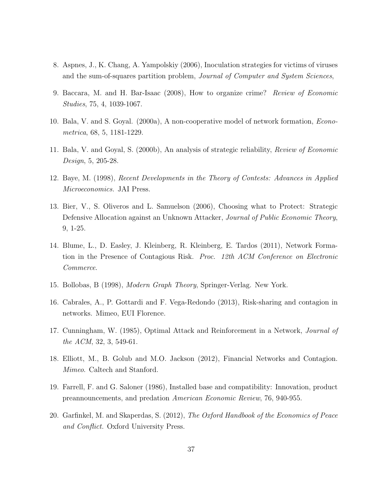- 8. Aspnes, J., K. Chang, A. Yampolskiy (2006), Inoculation strategies for victims of viruses and the sum-of-squares partition problem, *Journal of Computer and System Sciences*,
- 9. Baccara, M. and H. Bar-Isaac (2008), How to organize crime? Review of Economic Studies, 75, 4, 1039-1067.
- 10. Bala, V. and S. Goyal. (2000a), A non-cooperative model of network formation, Econometrica, 68, 5, 1181-1229.
- 11. Bala, V. and Goyal, S. (2000b), An analysis of strategic reliability, Review of Economic Design, 5, 205-28.
- 12. Baye, M. (1998), Recent Developments in the Theory of Contests: Advances in Applied Microeconomics. JAI Press.
- 13. Bier, V., S. Oliveros and L. Samuelson (2006), Choosing what to Protect: Strategic Defensive Allocation against an Unknown Attacker, Journal of Public Economic Theory, 9, 1-25.
- 14. Blume, L., D. Easley, J. Kleinberg, R. Kleinberg, E. Tardos (2011), Network Formation in the Presence of Contagious Risk. Proc. 12th ACM Conference on Electronic Commerce.
- 15. Bollobas, B (1998), Modern Graph Theory, Springer-Verlag. New York.
- 16. Cabrales, A., P. Gottardi and F. Vega-Redondo (2013), Risk-sharing and contagion in networks. Mimeo, EUI Florence.
- 17. Cunningham, W. (1985), Optimal Attack and Reinforcement in a Network, Journal of the ACM, 32, 3, 549-61.
- 18. Elliott, M., B. Golub and M.O. Jackson (2012), Financial Networks and Contagion. Mimeo. Caltech and Stanford.
- 19. Farrell, F. and G. Saloner (1986), Installed base and compatibility: Innovation, product preannouncements, and predation American Economic Review, 76, 940-955.
- 20. Garfinkel, M. and Skaperdas, S. (2012), The Oxford Handbook of the Economics of Peace and Conflict. Oxford University Press.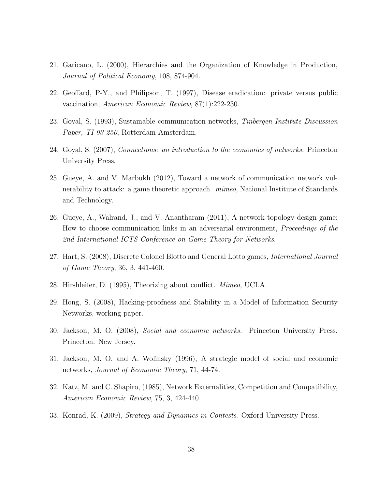- 21. Garicano, L. (2000), Hierarchies and the Organization of Knowledge in Production, Journal of Political Economy, 108, 874-904.
- 22. Geoffard, P-Y., and Philipson, T. (1997), Disease eradication: private versus public vaccination, American Economic Review, 87(1):222-230.
- 23. Goyal, S. (1993), Sustainable communication networks, Tinbergen Institute Discussion Paper, TI 93-250, Rotterdam-Amsterdam.
- 24. Goyal, S. (2007), Connections: an introduction to the economics of networks. Princeton University Press.
- 25. Gueye, A. and V. Marbukh (2012), Toward a network of communication network vulnerability to attack: a game theoretic approach. mimeo, National Institute of Standards and Technology.
- 26. Gueye, A., Walrand, J., and V. Anantharam (2011), A network topology design game: How to choose communication links in an adversarial environment, Proceedings of the 2nd International ICTS Conference on Game Theory for Networks.
- 27. Hart, S. (2008), Discrete Colonel Blotto and General Lotto games, International Journal of Game Theory, 36, 3, 441-460.
- 28. Hirshleifer, D. (1995), Theorizing about conflict. Mimeo, UCLA.
- 29. Hong, S. (2008), Hacking-proofness and Stability in a Model of Information Security Networks, working paper.
- 30. Jackson, M. O. (2008), Social and economic networks. Princeton University Press. Princeton. New Jersey.
- 31. Jackson, M. O. and A. Wolinsky (1996), A strategic model of social and economic networks, Journal of Economic Theory, 71, 44-74.
- 32. Katz, M. and C. Shapiro, (1985), Network Externalities, Competition and Compatibility, American Economic Review, 75, 3, 424-440.
- 33. Konrad, K. (2009), Strategy and Dynamics in Contests. Oxford University Press.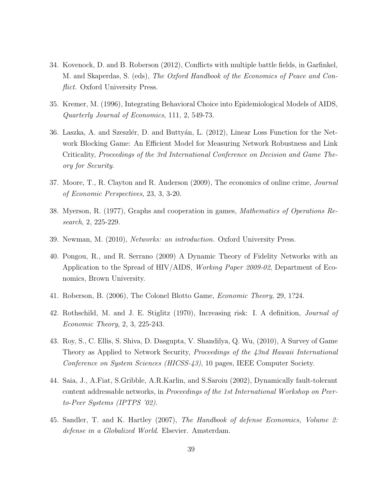- 34. Kovenock, D. and B. Roberson (2012), Conflicts with multiple battle fields, in Garfinkel, M. and Skaperdas, S. (eds), The Oxford Handbook of the Economics of Peace and Conflict. Oxford University Press.
- 35. Kremer, M. (1996), Integrating Behavioral Choice into Epidemiological Models of AIDS, Quarterly Journal of Economics, 111, 2, 549-73.
- 36. Laszka, A. and Szeszlér, D. and Buttyán, L. (2012), Linear Loss Function for the Network Blocking Game: An Efficient Model for Measuring Network Robustness and Link Criticality, Proceedings of the 3rd International Conference on Decision and Game Theory for Security.
- 37. Moore, T., R. Clayton and R. Anderson (2009), The economics of online crime, Journal of Economic Perspectives, 23, 3, 3-20.
- 38. Myerson, R. (1977), Graphs and cooperation in games, Mathematics of Operations Research, 2, 225-229.
- 39. Newman, M. (2010), Networks: an introduction. Oxford University Press.
- 40. Pongou, R., and R. Serrano (2009) A Dynamic Theory of Fidelity Networks with an Application to the Spread of HIV/AIDS, Working Paper 2009-02, Department of Economics, Brown University.
- 41. Roberson, B. (2006), The Colonel Blotto Game, Economic Theory, 29, 1?24.
- 42. Rothschild, M. and J. E. Stiglitz (1970), Increasing risk: I. A definition, Journal of Economic Theory, 2, 3, 225-243.
- 43. Roy, S., C. Ellis, S. Shiva, D. Dasgupta, V. Shandilya, Q. Wu, (2010), A Survey of Game Theory as Applied to Network Security, Proceedings of the 43nd Hawaii International Conference on System Sciences (HICSS-43), 10 pages, IEEE Computer Society.
- 44. Saia, J., A.Fiat, S.Gribble, A.R.Karlin, and S.Saroiu (2002), Dynamically fault-tolerant content addressable networks, in Proceedings of the 1st International Workshop on Peerto-Peer Systems (IPTPS '02).
- 45. Sandler, T. and K. Hartley (2007), The Handbook of defense Economics, Volume 2: defense in a Globalized World. Elsevier. Amsterdam.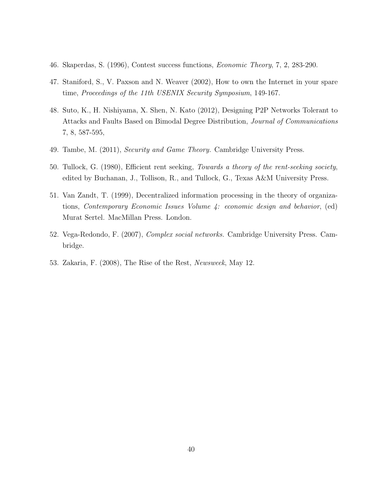- 46. Skaperdas, S. (1996), Contest success functions, Economic Theory, 7, 2, 283-290.
- 47. Staniford, S., V. Paxson and N. Weaver (2002), How to own the Internet in your spare time, Proceedings of the 11th USENIX Security Symposium, 149-167.
- 48. Suto, K., H. Nishiyama, X. Shen, N. Kato (2012), Designing P2P Networks Tolerant to Attacks and Faults Based on Bimodal Degree Distribution, Journal of Communications 7, 8, 587-595,
- 49. Tambe, M. (2011), Security and Game Theory. Cambridge University Press.
- 50. Tullock, G. (1980), Efficient rent seeking, Towards a theory of the rent-seeking society, edited by Buchanan, J., Tollison, R., and Tullock, G., Texas A&M University Press.
- 51. Van Zandt, T. (1999), Decentralized information processing in the theory of organizations, Contemporary Economic Issues Volume 4: economic design and behavior, (ed) Murat Sertel. MacMillan Press. London.
- 52. Vega-Redondo, F. (2007), Complex social networks. Cambridge University Press. Cambridge.
- 53. Zakaria, F. (2008), The Rise of the Rest, Newsweek, May 12.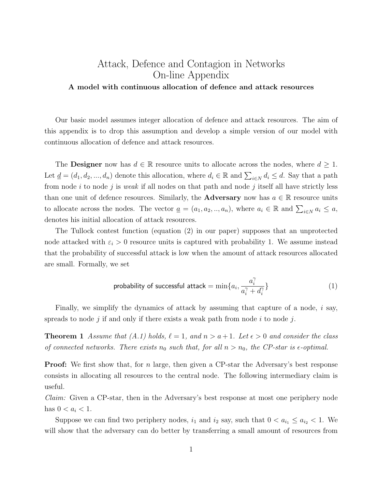## Attack, Defence and Contagion in Networks On-line Appendix A model with continuous allocation of defence and attack resources

Our basic model assumes integer allocation of defence and attack resources. The aim of this appendix is to drop this assumption and develop a simple version of our model with continuous allocation of defence and attack resources.

The Designer now has  $d \in \mathbb{R}$  resource units to allocate across the nodes, where  $d \geq 1$ . Let  $\underline{d} = (d_1, d_2, ..., d_n)$  denote this allocation, where  $d_i \in \mathbb{R}$  and  $\sum_{i \in N} d_i \leq d$ . Say that a path from node i to node j is weak if all nodes on that path and node j itself all have strictly less than one unit of defence resources. Similarly, the **Adversary** now has  $a \in \mathbb{R}$  resource units to allocate across the nodes. The vector  $\underline{a} = (a_1, a_2, ..., a_n)$ , where  $a_i \in \mathbb{R}$  and  $\sum_{i \in N} a_i \leq a$ , denotes his initial allocation of attack resources.

The Tullock contest function (equation (2) in our paper) supposes that an unprotected node attacked with  $\varepsilon_i > 0$  resource units is captured with probability 1. We assume instead that the probability of successful attack is low when the amount of attack resources allocated are small. Formally, we set

probability of successful attack = 
$$
\min\{a_i, \frac{a_i^{\gamma}}{a_i^{\gamma} + d_i^{\gamma}}\}
$$
 (1)

Finally, we simplify the dynamics of attack by assuming that capture of a node,  $i$  say, spreads to node j if and only if there exists a weak path from node i to node j.

**Theorem 1** Assume that (A.1) holds,  $\ell = 1$ , and  $n > a + 1$ . Let  $\epsilon > 0$  and consider the class of connected networks. There exists  $n_0$  such that, for all  $n > n_0$ , the CP-star is  $\epsilon$ -optimal.

**Proof:** We first show that, for n large, then given a CP-star the Adversary's best response consists in allocating all resources to the central node. The following intermediary claim is useful.

Claim: Given a CP-star, then in the Adversary's best response at most one periphery node has  $0 < a_i < 1$ .

Suppose we can find two periphery nodes,  $i_1$  and  $i_2$  say, such that  $0 < a_{i_1} \le a_{i_2} < 1$ . We will show that the adversary can do better by transferring a small amount of resources from